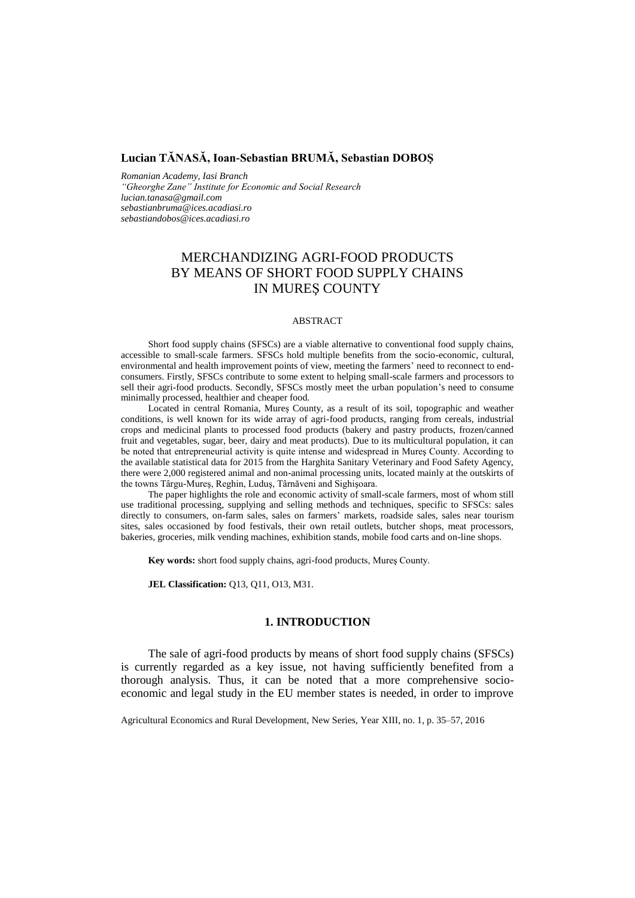# **Lucian TĂNASĂ, Ioan-Sebastian BRUMĂ, Sebastian DOBOŞ**

*Romanian Academy, Iasi Branch "Gheorghe Zane" Institute for Economic and Social Research lucian.tanasa@gmail.com sebastianbruma@ices.acadiasi.ro sebastiandobos@ices.acadiasi.ro*

# MERCHANDIZING AGRI-FOOD PRODUCTS BY MEANS OF SHORT FOOD SUPPLY CHAINS IN MUREŞ COUNTY

#### ABSTRACT

Short food supply chains (SFSCs) are a viable alternative to conventional food supply chains, accessible to small-scale farmers. SFSCs hold multiple benefits from the socio-economic, cultural, environmental and health improvement points of view, meeting the farmers' need to reconnect to endconsumers. Firstly, SFSCs contribute to some extent to helping small-scale farmers and processors to sell their agri-food products. Secondly, SFSCs mostly meet the urban population's need to consume minimally processed, healthier and cheaper food.

Located in central Romania, Mureș County, as a result of its soil, topographic and weather conditions, is well known for its wide array of agri-food products, ranging from cereals, industrial crops and medicinal plants to processed food products (bakery and pastry products, frozen/canned fruit and vegetables, sugar, beer, dairy and meat products). Due to its multicultural population, it can be noted that entrepreneurial activity is quite intense and widespread in Mureş County. According to the available statistical data for 2015 from the Harghita Sanitary Veterinary and Food Safety Agency, there were 2,000 registered animal and non-animal processing units, located mainly at the outskirts of the towns Târgu-Mureş, Reghin, Luduş, Târnăveni and Sighişoara.

The paper highlights the role and economic activity of small-scale farmers, most of whom still use traditional processing, supplying and selling methods and techniques, specific to SFSCs: sales directly to consumers, on-farm sales, sales on farmers' markets, roadside sales, sales near tourism sites, sales occasioned by food festivals, their own retail outlets, butcher shops, meat processors, bakeries, groceries, milk vending machines, exhibition stands, mobile food carts and on-line shops.

**Key words:** short food supply chains, agri-food products, Mureş County.

**JEL Classification:** Q13, Q11, O13, M31.

### **1. INTRODUCTION**

The sale of agri-food products by means of short food supply chains (SFSCs) is currently regarded as a key issue, not having sufficiently benefited from a thorough analysis. Thus, it can be noted that a more comprehensive socioeconomic and legal study in the EU member states is needed, in order to improve

Agricultural Economics and Rural Development, New Series, Year XIII, no. 1, p. 35–57, 2016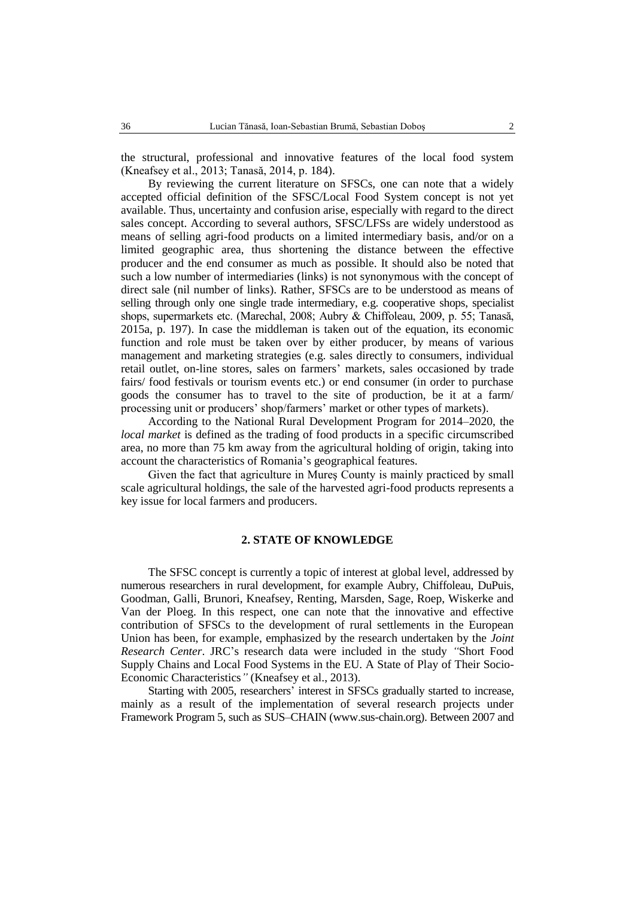the structural, professional and innovative features of the local food system (Kneafsey et al., 2013; Tanasă, 2014, p. 184).

By reviewing the current literature on SFSCs, one can note that a widely accepted official definition of the SFSC/Local Food System concept is not yet available. Thus, uncertainty and confusion arise, especially with regard to the direct sales concept. According to several authors, SFSC/LFSs are widely understood as means of selling agri-food products on a limited intermediary basis, and/or on a limited geographic area, thus shortening the distance between the effective producer and the end consumer as much as possible. It should also be noted that such a low number of intermediaries (links) is not synonymous with the concept of direct sale (nil number of links). Rather, SFSCs are to be understood as means of selling through only one single trade intermediary, e.g. cooperative shops, specialist shops, supermarkets etc. (Marechal, 2008; Aubry & Chiffoleau, 2009, p. 55; Tanasă, 2015a, p. 197). In case the middleman is taken out of the equation, its economic function and role must be taken over by either producer, by means of various management and marketing strategies (e.g. sales directly to consumers, individual retail outlet, on-line stores, sales on farmers' markets, sales occasioned by trade fairs/ food festivals or tourism events etc.) or end consumer (in order to purchase goods the consumer has to travel to the site of production, be it at a farm/ processing unit or producers' shop/farmers' market or other types of markets).

According to the National Rural Development Program for 2014–2020, the *local market* is defined as the trading of food products in a specific circumscribed area, no more than 75 km away from the agricultural holding of origin, taking into account the characteristics of Romania's geographical features.

Given the fact that agriculture in Mureş County is mainly practiced by small scale agricultural holdings, the sale of the harvested agri-food products represents a key issue for local farmers and producers.

#### **2. STATE OF KNOWLEDGE**

The SFSC concept is currently a topic of interest at global level, addressed by numerous researchers in rural development, for example Aubry, Chiffoleau, DuPuis, Goodman, Galli, Brunori, Kneafsey, Renting, Marsden, Sage, Roep, Wiskerke and Van der Ploeg. In this respect, one can note that the innovative and effective contribution of SFSCs to the development of rural settlements in the European Union has been, for example, emphasized by the research undertaken by the *Joint Research Center*. JRC's research data were included in the study *"*Short Food Supply Chains and Local Food Systems in the EU. A State of Play of Their Socio-Economic Characteristics*"* (Kneafsey et al., 2013).

Starting with 2005, researchers' interest in SFSCs gradually started to increase, mainly as a result of the implementation of several research projects under Framework Program 5, such as SUS–CHAIN (www.sus-chain.org). Between 2007 and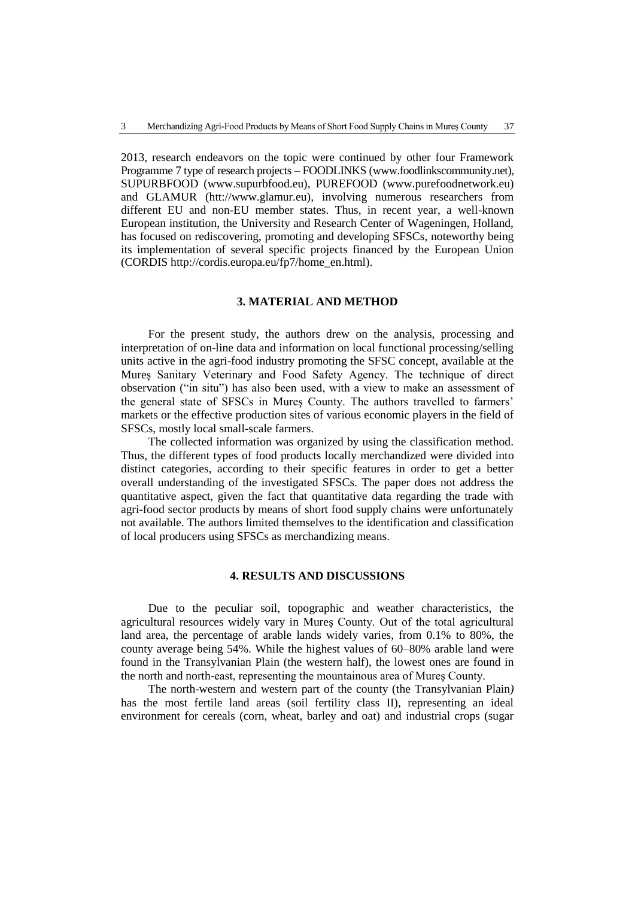2013, research endeavors on the topic were continued by other four Framework Programme 7 type of research projects – FOODLINKS (www.foodlinkscommunity.net), SUPURBFOOD (www.supurbfood.eu), PUREFOOD (www.purefoodnetwork.eu) and GLAMUR (htt://www.glamur.eu), involving numerous researchers from different EU and non-EU member states. Thus, in recent year, a well-known European institution, the University and Research Center of Wageningen, Holland, has focused on rediscovering, promoting and developing SFSCs, noteworthy being its implementation of several specific projects financed by the European Union (CORDIS http://cordis.europa.eu/fp7/home\_en.html).

# **3. MATERIAL AND METHOD**

For the present study, the authors drew on the analysis, processing and interpretation of on-line data and information on local functional processing/selling units active in the agri-food industry promoting the SFSC concept, available at the Mureş Sanitary Veterinary and Food Safety Agency. The technique of direct observation ("in situ") has also been used, with a view to make an assessment of the general state of SFSCs in Mureş County. The authors travelled to farmers' markets or the effective production sites of various economic players in the field of SFSCs, mostly local small-scale farmers.

The collected information was organized by using the classification method. Thus, the different types of food products locally merchandized were divided into distinct categories, according to their specific features in order to get a better overall understanding of the investigated SFSCs. The paper does not address the quantitative aspect, given the fact that quantitative data regarding the trade with agri-food sector products by means of short food supply chains were unfortunately not available. The authors limited themselves to the identification and classification of local producers using SFSCs as merchandizing means.

### **4. RESULTS AND DISCUSSIONS**

Due to the peculiar soil, topographic and weather characteristics, the agricultural resources widely vary in Mureş County. Out of the total agricultural land area, the percentage of arable lands widely varies, from 0.1% to 80%, the county average being 54%. While the highest values of 60–80% arable land were found in the Transylvanian Plain (the western half), the lowest ones are found in the north and north-east, representing the mountainous area of Mureş County.

The north-western and western part of the county (the Transylvanian Plain*)*  has the most fertile land areas (soil fertility class II), representing an ideal environment for cereals (corn, wheat, barley and oat) and industrial crops (sugar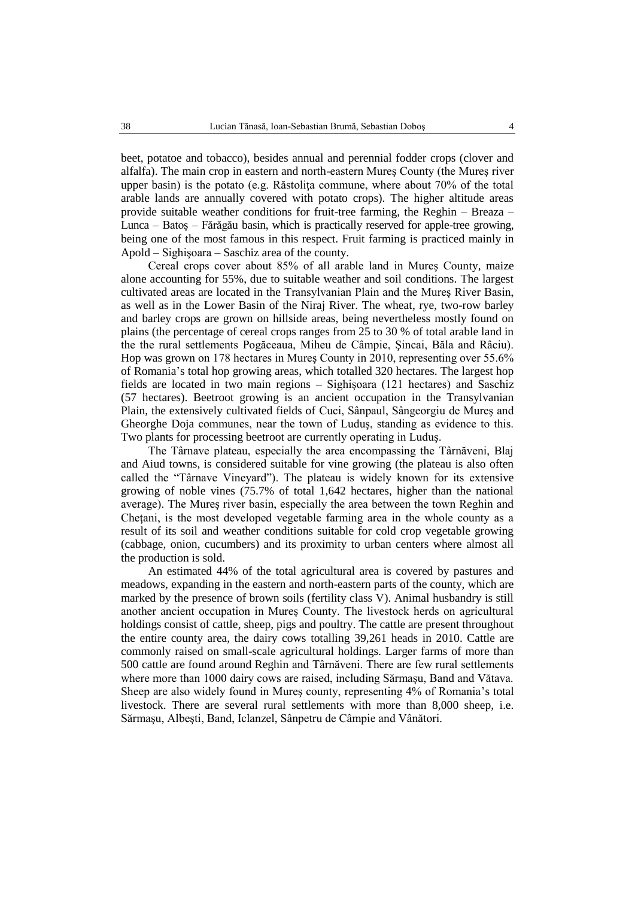beet, potatoe and tobacco), besides annual and perennial fodder crops (clover and alfalfa). The main crop in eastern and north-eastern Mureş County (the Mureş river upper basin) is the potato (e.g. Răstolita commune, where about  $70\%$  of the total arable lands are annually covered with potato crops). The higher altitude areas provide suitable weather conditions for fruit-tree farming, the Reghin – Breaza – Lunca – Batoş – Fărăgău basin, which is practically reserved for apple-tree growing, being one of the most famous in this respect. Fruit farming is practiced mainly in Apold – Sighişoara – Saschiz area of the county.

Cereal crops cover about 85% of all arable land in Mureş County, maize alone accounting for 55%, due to suitable weather and soil conditions. The largest cultivated areas are located in the Transylvanian Plain and the Mureş River Basin, as well as in the Lower Basin of the Niraj River*.* The wheat, rye, two-row barley and barley crops are grown on hillside areas, being nevertheless mostly found on plains (the percentage of cereal crops ranges from 25 to 30 % of total arable land in the the rural settlements Pogăceaua, Miheu de Câmpie, Şincai, Băla and Râciu). Hop was grown on 178 hectares in Mureş County in 2010, representing over 55.6% of Romania's total hop growing areas, which totalled 320 hectares. The largest hop fields are located in two main regions – Sighişoara (121 hectares) and Saschiz (57 hectares). Beetroot growing is an ancient occupation in the Transylvanian Plain, the extensively cultivated fields of Cuci, Sânpaul, Sângeorgiu de Mureş and Gheorghe Doja communes, near the town of Luduş, standing as evidence to this. Two plants for processing beetroot are currently operating in Luduş.

The Târnave plateau, especially the area encompassing the Târnăveni, Blaj and Aiud towns, is considered suitable for vine growing (the plateau is also often called the "Târnave Vineyard"). The plateau is widely known for its extensive growing of noble vines (75.7% of total 1,642 hectares, higher than the national average). The Mureş river basin, especially the area between the town Reghin and Cheţani, is the most developed vegetable farming area in the whole county as a result of its soil and weather conditions suitable for cold crop vegetable growing (cabbage, onion, cucumbers) and its proximity to urban centers where almost all the production is sold.

An estimated 44% of the total agricultural area is covered by pastures and meadows, expanding in the eastern and north-eastern parts of the county, which are marked by the presence of brown soils (fertility class V). Animal husbandry is still another ancient occupation in Mureş County. The livestock herds on agricultural holdings consist of cattle, sheep, pigs and poultry. The cattle are present throughout the entire county area, the dairy cows totalling 39,261 heads in 2010. Cattle are commonly raised on small-scale agricultural holdings. Larger farms of more than 500 cattle are found around Reghin and Târnăveni. There are few rural settlements where more than 1000 dairy cows are raised, including Sărmaşu, Band and Vătava. Sheep are also widely found in Mureş county, representing 4% of Romania's total livestock. There are several rural settlements with more than 8,000 sheep, i.e. Sărmaşu, Albeşti, Band, Iclanzel, Sânpetru de Câmpie and Vânători*.*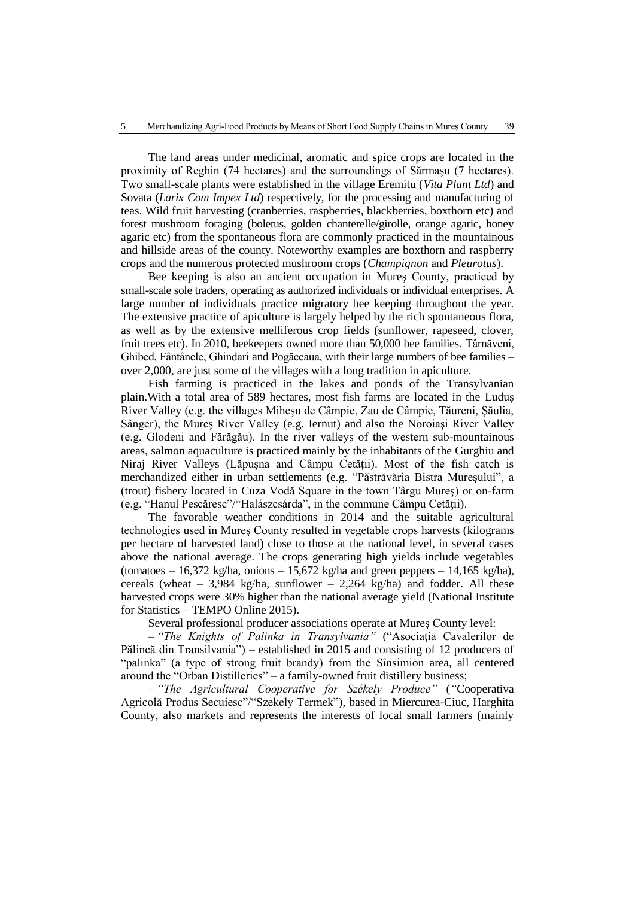The land areas under medicinal, aromatic and spice crops are located in the proximity of Reghin (74 hectares) and the surroundings of Sărmaşu (7 hectares). Two small-scale plants were established in the village Eremitu (*Vita Plant Ltd*) and Sovata (*Larix Com Impex Ltd*) respectively, for the processing and manufacturing of teas. Wild fruit harvesting (cranberries, raspberries, blackberries, boxthorn etc) and forest mushroom foraging (boletus, golden chanterelle/girolle, orange agaric, honey agaric etc) from the spontaneous flora are commonly practiced in the mountainous and hillside areas of the county. Noteworthy examples are boxthorn and raspberry crops and the numerous protected mushroom crops (*Champignon* and *Pleurotus*).

Bee keeping is also an ancient occupation in Mureş County, practiced by small-scale sole traders, operating as authorized individuals or individual enterprises. A large number of individuals practice migratory bee keeping throughout the year. The extensive practice of apiculture is largely helped by the rich spontaneous flora, as well as by the extensive melliferous crop fields (sunflower, rapeseed, clover, fruit trees etc). In 2010, beekeepers owned more than 50,000 bee families. Târnăveni, Ghibed, Fântânele, Ghindari and Pogăceaua, with their large numbers of bee families – over 2,000, are just some of the villages with a long tradition in apiculture.

Fish farming is practiced in the lakes and ponds of the Transylvanian plain.With a total area of 589 hectares, most fish farms are located in the Luduş River Valley (e.g. the villages Miheşu de Câmpie, Zau de Câmpie, Tăureni, Şăulia, Sânger), the Mureş River Valley (e.g. Iernut) and also the Noroiaşi River Valley (e.g. Glodeni and Fărăgău). In the river valleys of the western sub-mountainous areas, salmon aquaculture is practiced mainly by the inhabitants of the Gurghiu and Niraj River Valleys (Lăpușna and Câmpu Cetății). Most of the fish catch is merchandized either in urban settlements (e.g. "Păstrăvăria Bistra Mureşului", a (trout) fishery located in Cuza Vodă Square in the town Târgu Mureş) or on-farm (e.g. "Hanul Pescăresc"/"Halászcsárda", in the commune Câmpu Cetăţii).

The favorable weather conditions in 2014 and the suitable agricultural technologies used in Mureş County resulted in vegetable crops harvests (kilograms per hectare of harvested land) close to those at the national level, in several cases above the national average. The crops generating high yields include vegetables (tomatoes  $-16,372$  kg/ha, onions  $-15,672$  kg/ha and green peppers  $-14,165$  kg/ha), cereals (wheat – 3,984 kg/ha, sunflower – 2,264 kg/ha) and fodder. All these harvested crops were 30% higher than the national average yield (National Institute for Statistics – TEMPO Online 2015).

Several professional producer associations operate at Mureş County level:

– *"The Knights of Palinka in Transylvania"* ("Asociaţia Cavalerilor de Pălincă din Transilvania") – established in 2015 and consisting of 12 producers of "palinka" (a type of strong fruit brandy) from the Sînsimion area, all centered around the "Orban Distilleries" – a family-owned fruit distillery business;

– *"The Agricultural Cooperative for Székely Produce"* (*"*Cooperativa Agricolă Produs Secuiesc"/"Szekely Termek"), based in Miercurea-Ciuc, Harghita County, also markets and represents the interests of local small farmers (mainly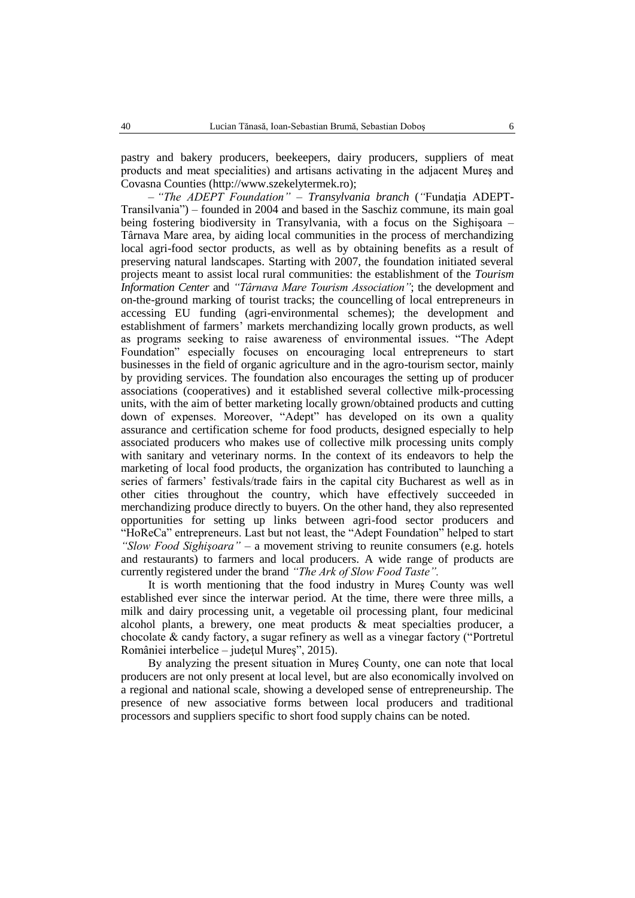pastry and bakery producers, beekeepers, dairy producers, suppliers of meat products and meat specialities) and artisans activating in the adjacent Mureş and Covasna Counties (http://www.szekelytermek.ro);

– *"The ADEPT Foundation" – Transylvania branch* (*"*Fundaţia ADEPT-Transilvania") – founded in 2004 and based in the Saschiz commune, its main goal being fostering biodiversity in Transylvania, with a focus on the Sighişoara – Târnava Mare area, by aiding local communities in the process of merchandizing local agri-food sector products, as well as by obtaining benefits as a result of preserving natural landscapes. Starting with 2007, the foundation initiated several projects meant to assist local rural communities: the establishment of the *Tourism Information Center* and *"Târnava Mare Tourism Association"*; the development and on-the-ground marking of tourist tracks; the councelling of local entrepreneurs in accessing EU funding (agri-environmental schemes); the development and establishment of farmers' markets merchandizing locally grown products, as well as programs seeking to raise awareness of environmental issues. "The Adept Foundation" especially focuses on encouraging local entrepreneurs to start businesses in the field of organic agriculture and in the agro-tourism sector, mainly by providing services. The foundation also encourages the setting up of producer associations (cooperatives) and it established several collective milk-processing units, with the aim of better marketing locally grown/obtained products and cutting down of expenses. Moreover, "Adept" has developed on its own a quality assurance and certification scheme for food products, designed especially to help associated producers who makes use of collective milk processing units comply with sanitary and veterinary norms. In the context of its endeavors to help the marketing of local food products, the organization has contributed to launching a series of farmers' festivals/trade fairs in the capital city Bucharest as well as in other cities throughout the country, which have effectively succeeded in merchandizing produce directly to buyers. On the other hand, they also represented opportunities for setting up links between agri-food sector producers and "HoReCa" entrepreneurs. Last but not least, the "Adept Foundation" helped to start *"Slow Food Sighişoara" –* a movement striving to reunite consumers (e.g. hotels and restaurants) to farmers and local producers. A wide range of products are currently registered under the brand *"The Ark of Slow Food Taste".*

It is worth mentioning that the food industry in Mureş County was well established ever since the interwar period. At the time, there were three mills, a milk and dairy processing unit, a vegetable oil processing plant, four medicinal alcohol plants, a brewery, one meat products  $\&$  meat specialties producer, a chocolate & candy factory, a sugar refinery as well as a vinegar factory ("Portretul României interbelice – judeţul Mureş", 2015).

By analyzing the present situation in Mureş County, one can note that local producers are not only present at local level, but are also economically involved on a regional and national scale, showing a developed sense of entrepreneurship. The presence of new associative forms between local producers and traditional processors and suppliers specific to short food supply chains can be noted.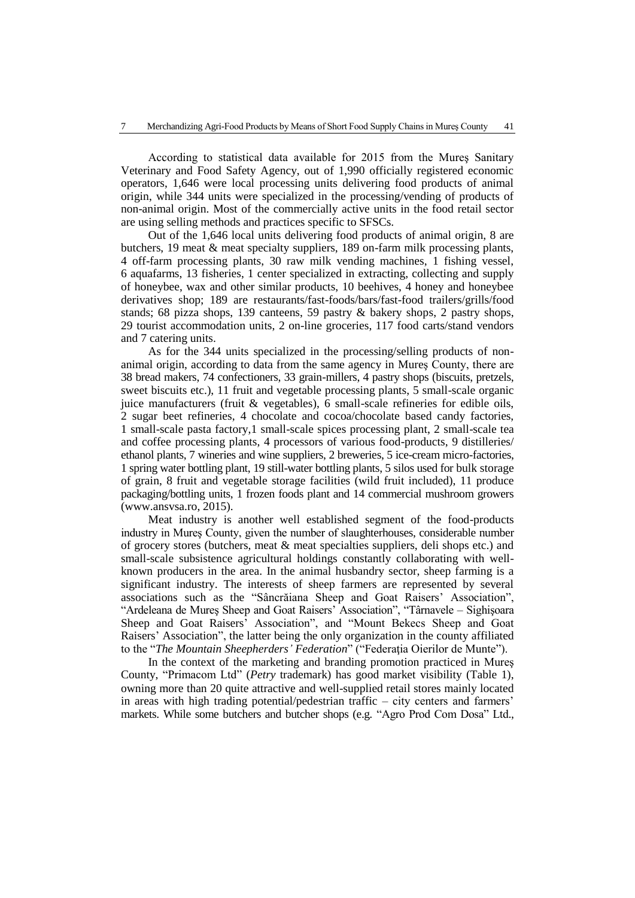According to statistical data available for 2015 from the Mureş Sanitary Veterinary and Food Safety Agency, out of 1,990 officially registered economic operators, 1,646 were local processing units delivering food products of animal origin, while 344 units were specialized in the processing/vending of products of non-animal origin. Most of the commercially active units in the food retail sector are using selling methods and practices specific to SFSCs.

Out of the 1,646 local units delivering food products of animal origin, 8 are butchers, 19 meat & meat specialty suppliers, 189 on-farm milk processing plants, 4 off-farm processing plants, 30 raw milk vending machines, 1 fishing vessel, 6 aquafarms, 13 fisheries, 1 center specialized in extracting, collecting and supply of honeybee, wax and other similar products, 10 beehives, 4 honey and honeybee derivatives shop; 189 are restaurants/fast-foods/bars/fast-food trailers/grills/food stands; 68 pizza shops, 139 canteens, 59 pastry & bakery shops, 2 pastry shops, 29 tourist accommodation units, 2 on-line groceries, 117 food carts/stand vendors and 7 catering units.

As for the 344 units specialized in the processing/selling products of nonanimal origin, according to data from the same agency in Mureş County, there are 38 bread makers, 74 confectioners, 33 grain-millers, 4 pastry shops (biscuits, pretzels, sweet biscuits etc.), 11 fruit and vegetable processing plants, 5 small-scale organic juice manufacturers (fruit & vegetables), 6 small-scale refineries for edible oils, 2 sugar beet refineries, 4 chocolate and cocoa/chocolate based candy factories, 1 small-scale pasta factory,1 small-scale spices processing plant, 2 small-scale tea and coffee processing plants, 4 processors of various food-products, 9 distilleries/ ethanol plants, 7 wineries and wine suppliers, 2 breweries, 5 ice-cream micro-factories, 1 spring water bottling plant, 19 still-water bottling plants, 5 silos used for bulk storage of grain, 8 fruit and vegetable storage facilities (wild fruit included), 11 produce packaging/bottling units, 1 frozen foods plant and 14 commercial mushroom growers (www.ansvsa.ro, 2015).

Meat industry is another well established segment of the food-products industry in Mureş County, given the number of slaughterhouses, considerable number of grocery stores (butchers, meat & meat specialties suppliers, deli shops etc.) and small-scale subsistence agricultural holdings constantly collaborating with wellknown producers in the area. In the animal husbandry sector, sheep farming is a significant industry. The interests of sheep farmers are represented by several associations such as the "Sâncrăiana Sheep and Goat Raisers' Association", "Ardeleana de Mureş Sheep and Goat Raisers' Association", "Târnavele – Sighişoara Sheep and Goat Raisers' Association", and "Mount Bekecs Sheep and Goat Raisers' Association", the latter being the only organization in the county affiliated to the "*The Mountain Sheepherders' Federation*" ("Federatia Oierilor de Munte").

In the context of the marketing and branding promotion practiced in Mureş County, "Primacom Ltd" (*Petry* trademark) has good market visibility (Table 1), owning more than 20 quite attractive and well-supplied retail stores mainly located in areas with high trading potential/pedestrian traffic – city centers and farmers' markets. While some butchers and butcher shops (e.g*.* "Agro Prod Com Dosa" Ltd.,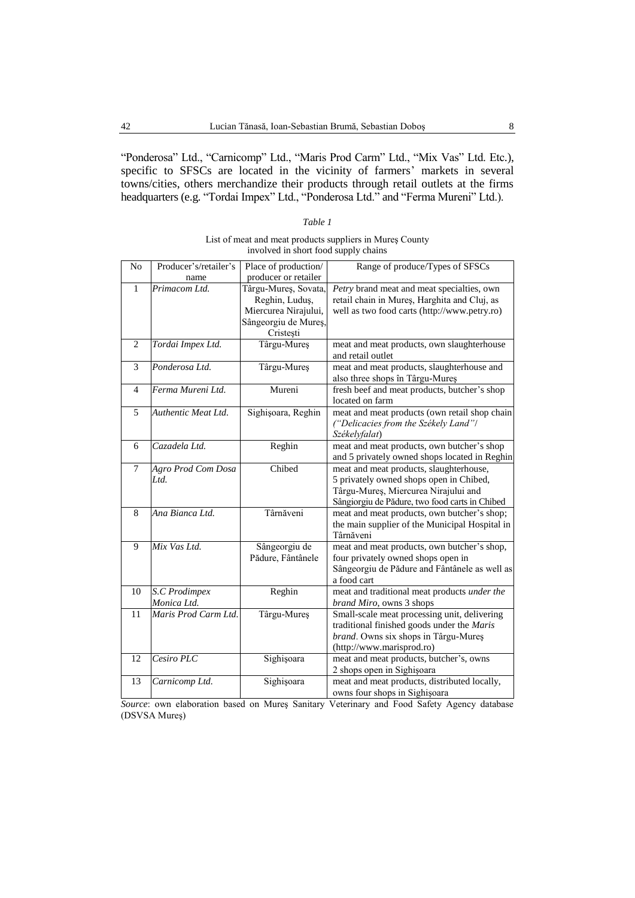"Ponderosa" Ltd., "Carnicomp" Ltd., "Maris Prod Carm" Ltd., "Mix Vas" Ltd. Etc*.*), specific to SFSCs are located in the vicinity of farmers' markets in several towns/cities, others merchandize their products through retail outlets at the firms headquarters (e.g. "Tordai Impex" Ltd., "Ponderosa Ltd." and "Ferma Mureni" Ltd.).

### *Table 1*

### List of meat and meat products suppliers in Mureş County involved in short food supply chains

| N <sub>o</sub> | Producer's/retailer's | Place of production/ | Range of produce/Types of SFSCs                                                    |
|----------------|-----------------------|----------------------|------------------------------------------------------------------------------------|
|                | name                  | producer or retailer |                                                                                    |
| 1              | Primacom Ltd.         | Târgu-Mureș, Sovata, | <i>Petry</i> brand meat and meat specialties, own                                  |
|                |                       | Reghin, Luduş,       | retail chain in Mures, Harghita and Cluj, as                                       |
|                |                       | Miercurea Nirajului, | well as two food carts (http://www.petry.ro)                                       |
|                |                       | Sângeorgiu de Mureș, |                                                                                    |
|                |                       | Cristești            |                                                                                    |
| $\overline{c}$ | Tordai Impex Ltd.     | Târgu-Mureș          | meat and meat products, own slaughterhouse<br>and retail outlet                    |
| 3              | Ponderosa Ltd.        | Târgu-Mureș          | meat and meat products, slaughterhouse and                                         |
|                |                       |                      | also three shops în Târgu-Mureș                                                    |
| 4              | Ferma Mureni Ltd.     | Mureni               | fresh beef and meat products, butcher's shop                                       |
|                |                       |                      | located on farm                                                                    |
| 5              | Authentic Meat Ltd.   | Sighișoara, Reghin   | meat and meat products (own retail shop chain                                      |
|                |                       |                      | ("Delicacies from the Székely Land"/                                               |
|                |                       |                      | Székelyfalat)                                                                      |
| 6              | Cazadela Ltd.         | Reghin               | meat and meat products, own butcher's shop                                         |
|                |                       |                      | and 5 privately owned shops located in Reghin                                      |
| 7              | Agro Prod Com Dosa    | Chibed               | meat and meat products, slaughterhouse,                                            |
|                | Ltd.                  |                      | 5 privately owned shops open in Chibed,                                            |
|                |                       |                      | Târgu-Mureș, Miercurea Nirajului and                                               |
|                |                       |                      | Sângiorgiu de Pădure, two food carts in Chibed                                     |
| 8              | Ana Bianca Ltd.       | Târnăveni            | meat and meat products, own butcher's shop;                                        |
|                |                       |                      | the main supplier of the Municipal Hospital in                                     |
|                |                       |                      | Târnăveni                                                                          |
| 9              | Mix Vas Ltd.          | Sângeorgiu de        | meat and meat products, own butcher's shop,                                        |
|                |                       | Pădure, Fântânele    | four privately owned shops open in                                                 |
|                |                       |                      | Sângeorgiu de Pădure and Fântânele as well as                                      |
|                |                       |                      | a food cart                                                                        |
| 10             | S.C Prodimpex         | Reghin               | meat and traditional meat products under the                                       |
|                | Monica Ltd.           |                      | brand Miro, owns 3 shops                                                           |
| 11             | Maris Prod Carm Ltd.  | Târgu-Mureș          | Small-scale meat processing unit, delivering                                       |
|                |                       |                      | traditional finished goods under the Maris<br>brand. Owns six shops in Târgu-Mures |
|                |                       |                      | (http://www.marisprod.ro)                                                          |
| 12             | Cesiro PLC            | Sighişoara           | meat and meat products, butcher's, owns                                            |
|                |                       |                      | 2 shops open in Sighișoara                                                         |
| 13             | Carnicomp Ltd.        | Sighișoara           | meat and meat products, distributed locally,                                       |
|                |                       |                      | owns four shops in Sighișoara                                                      |

*Source*: own elaboration based on Mureş Sanitary Veterinary and Food Safety Agency database (DSVSA Mureş)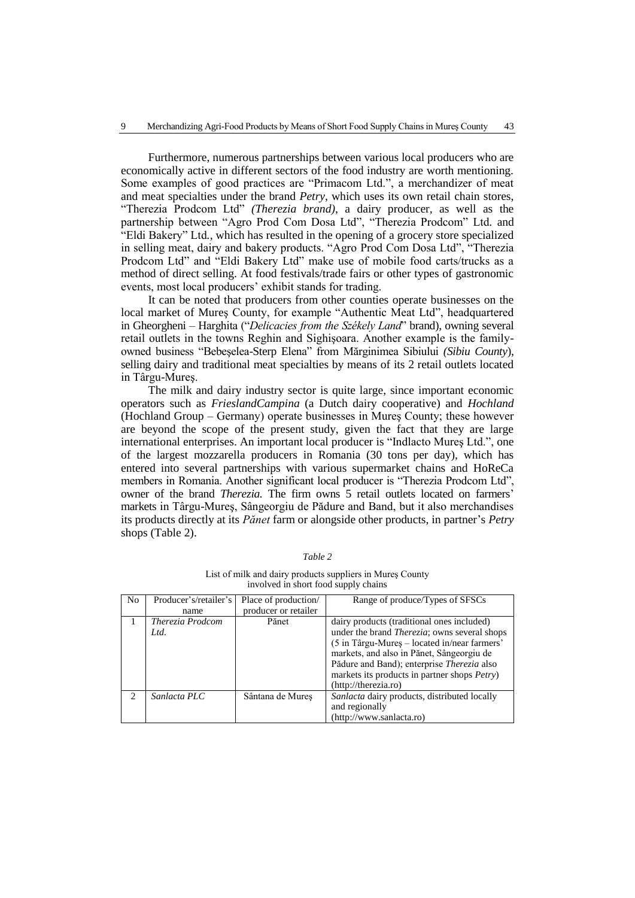Furthermore, numerous partnerships between various local producers who are economically active in different sectors of the food industry are worth mentioning. Some examples of good practices are "Primacom Ltd.", a merchandizer of meat and meat specialties under the brand *Petry*, which uses its own retail chain stores, "Therezia Prodcom Ltd" *(Therezia brand)*, a dairy producer*,* as well as the partnership between "Agro Prod Com Dosa Ltd", "Therezia Prodcom" Ltd*.* and "Eldi Bakery" Ltd*.,* which has resulted in the opening of a grocery store specialized in selling meat, dairy and bakery products. "Agro Prod Com Dosa Ltd", "Therezia Prodcom Ltd" and "Eldi Bakery Ltd" make use of mobile food carts/trucks as a method of direct selling. At food festivals/trade fairs or other types of gastronomic events, most local producers' exhibit stands for trading.

It can be noted that producers from other counties operate businesses on the local market of Mureş County, for example "Authentic Meat Ltd", headquartered in Gheorgheni – Harghita ("*Delicacies from the Székely Land*" brand), owning several retail outlets in the towns Reghin and Sighişoara. Another example is the familyowned business "Bebeşelea-Sterp Elena" from Mărginimea Sibiului *(Sibiu County*), selling dairy and traditional meat specialties by means of its 2 retail outlets located in Târgu-Mureş.

The milk and dairy industry sector is quite large, since important economic operators such as *FrieslandCampina* (a Dutch dairy cooperative) and *Hochland* (Hochland Group – Germany) operate businesses in Mureş County; these however are beyond the scope of the present study, given the fact that they are large international enterprises. An important local producer is "Indlacto Mureş Ltd.", one of the largest mozzarella producers in Romania (30 tons per day), which has entered into several partnerships with various supermarket chains and HoReCa members in Romania. Another significant local producer is "Therezia Prodcom Ltd", owner of the brand *Therezia.* The firm owns 5 retail outlets located on farmers' markets in Târgu-Mureş, Sângeorgiu de Pădure and Band, but it also merchandises its products directly at its *Pănet* farm or alongside other products, in partner's *Petry* shops (Table 2).

| N <sub>0</sub> | Producer's/retailer's    | Place of production/ | Range of produce/Types of SFSCs                                                                                                                                                                                                                                                                                               |
|----------------|--------------------------|----------------------|-------------------------------------------------------------------------------------------------------------------------------------------------------------------------------------------------------------------------------------------------------------------------------------------------------------------------------|
|                | name                     | producer or retailer |                                                                                                                                                                                                                                                                                                                               |
|                | Therezia Prodcom<br>Ltd. | Pănet                | dairy products (traditional ones included)<br>under the brand <i>Therezia</i> ; owns several shops<br>(5 in Târgu-Mures – located in/near farmers'<br>markets, and also in Pănet, Sângeorgiu de<br>Pădure and Band); enterprise Therezia also<br>markets its products in partner shops <i>Petry</i> )<br>(http://therezia.ro) |
|                | Sanlacta PLC             | Sântana de Mures     | Sanlacta dairy products, distributed locally<br>and regionally<br>(http://www.sanlacta.ro)                                                                                                                                                                                                                                    |

*Table 2*

List of milk and dairy products suppliers in Mureş County involved in short food supply chains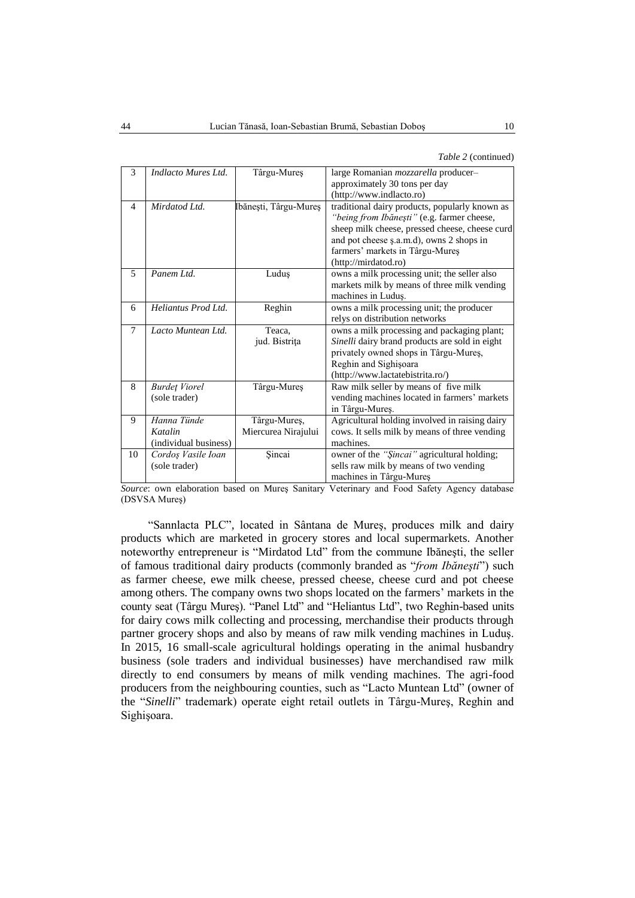*Table 2* (continued)

| 3              | Indlacto Mures Ltd.                             | Târgu-Mureș                         | large Romanian mozzarella producer-<br>approximately 30 tons per day                                                                                                                                |
|----------------|-------------------------------------------------|-------------------------------------|-----------------------------------------------------------------------------------------------------------------------------------------------------------------------------------------------------|
|                |                                                 |                                     | (http://www.indlacto.ro)                                                                                                                                                                            |
| $\overline{4}$ | Mirdatod Ltd.                                   | Ibănești, Târgu-Mureș               | traditional dairy products, popularly known as<br>"being from Ibănești" (e.g. farmer cheese,<br>sheep milk cheese, pressed cheese, cheese curd<br>and pot cheese s.a.m.d), owns 2 shops in          |
|                |                                                 |                                     | farmers' markets in Târgu-Mureș<br>(http://mirdatod.ro)                                                                                                                                             |
| 5              | Panem Ltd.                                      | Luduş                               | owns a milk processing unit; the seller also<br>markets milk by means of three milk vending<br>machines in Luduş.                                                                                   |
| 6              | Heliantus Prod Ltd.                             | Reghin                              | owns a milk processing unit; the producer<br>relys on distribution networks                                                                                                                         |
| $\overline{7}$ | Lacto Muntean Ltd.                              | Teaca,<br>jud. Bistrița             | owns a milk processing and packaging plant;<br>Sinelli dairy brand products are sold in eight<br>privately owned shops in Târgu-Mureș,<br>Reghin and Sighișoara<br>(http://www.lactatebistrita.ro/) |
| 8              | <b>Burdet Viorel</b><br>(sole trader)           | Târgu-Mureș                         | Raw milk seller by means of five milk<br>vending machines located in farmers' markets<br>in Târgu-Mureș.                                                                                            |
| 9              | Hanna Tünde<br>Katalin<br>(individual business) | Târgu-Mureș,<br>Miercurea Nirajului | Agricultural holding involved in raising dairy<br>cows. It sells milk by means of three vending<br>machines.                                                                                        |
| 10             | Cordos Vasile Ioan<br>(sole trader)             | Sincai                              | owner of the "Şincai" agricultural holding;<br>sells raw milk by means of two vending<br>machines in Târgu-Mureș                                                                                    |

*Source*: own elaboration based on Mureş Sanitary Veterinary and Food Safety Agency database (DSVSA Mureş)

"Sannlacta PLC"*,* located in Sântana de Mureş, produces milk and dairy products which are marketed in grocery stores and local supermarkets. Another noteworthy entrepreneur is "Mirdatod Ltd" from the commune Ibăneşti, the seller of famous traditional dairy products (commonly branded as "*from Ibăneşti*") such as farmer cheese, ewe milk cheese, pressed cheese, cheese curd and pot cheese among others. The company owns two shops located on the farmers' markets in the county seat (Târgu Mureş). "Panel Ltd" and "Heliantus Ltd", two Reghin-based units for dairy cows milk collecting and processing, merchandise their products through partner grocery shops and also by means of raw milk vending machines in Luduş. In 2015, 16 small-scale agricultural holdings operating in the animal husbandry business (sole traders and individual businesses) have merchandised raw milk directly to end consumers by means of milk vending machines. The agri-food producers from the neighbouring counties, such as "Lacto Muntean Ltd" (owner of the "*Sinelli*" trademark) operate eight retail outlets in Târgu-Mureş, Reghin and Sighişoara.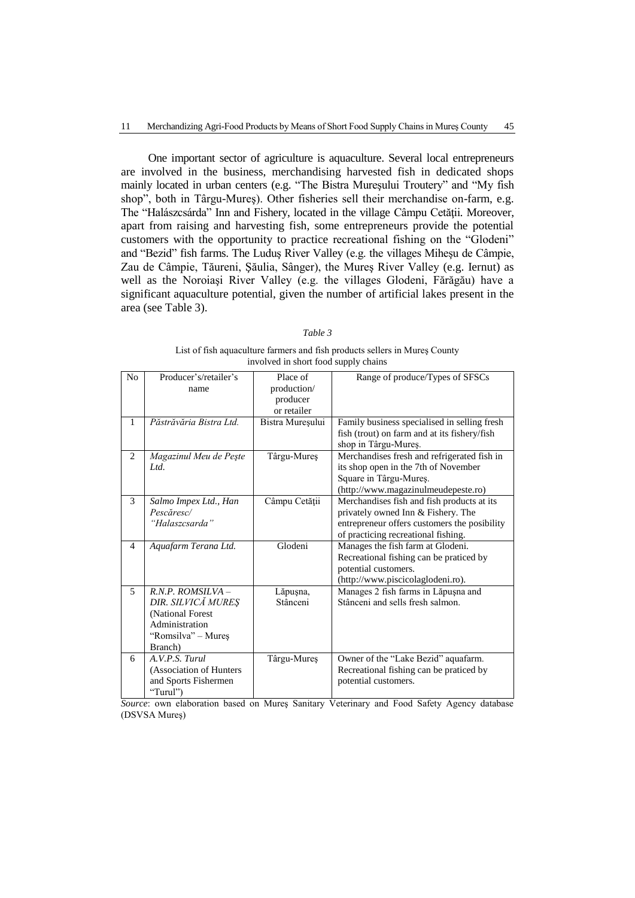One important sector of agriculture is aquaculture. Several local entrepreneurs are involved in the business, merchandising harvested fish in dedicated shops mainly located in urban centers (e.g. "The Bistra Mureşului Troutery" and "My fish shop", both in Târgu-Mureş). Other fisheries sell their merchandise on-farm, e.g. The "Halászcsárda" Inn and Fishery, located in the village Câmpu Cetăţii*.* Moreover, apart from raising and harvesting fish, some entrepreneurs provide the potential customers with the opportunity to practice recreational fishing on the "Glodeni" and "Bezid" fish farms. The Luduş River Valley (e.g. the villages Miheşu de Câmpie, Zau de Câmpie, Tăureni, Şăulia, Sânger), the Mureş River Valley (e.g. Iernut) as well as the Noroiaşi River Valley (e.g. the villages Glodeni, Fărăgău) have a significant aquaculture potential, given the number of artificial lakes present in the area (see Table 3).

|--|--|

List of fish aquaculture farmers and fish products sellers in Mureş County involved in short food supply chains

| N <sub>0</sub> | Producer's/retailer's   | Place of         | Range of produce/Types of SFSCs              |
|----------------|-------------------------|------------------|----------------------------------------------|
|                | name                    | production/      |                                              |
|                |                         | producer         |                                              |
|                |                         | or retailer      |                                              |
| 1              | Păstrăvăria Bistra Ltd. | Bistra Mureșului | Family business specialised in selling fresh |
|                |                         |                  | fish (trout) on farm and at its fishery/fish |
|                |                         |                  | shop in Târgu-Mureș.                         |
| $\overline{2}$ | Magazinul Meu de Pește  | Târgu-Mureș      | Merchandises fresh and refrigerated fish in  |
|                | Ltd.                    |                  | its shop open in the 7th of November         |
|                |                         |                  | Square in Târgu-Mureș.                       |
|                |                         |                  | (http://www.magazinulmeudepeste.ro)          |
| 3              | Salmo Impex Ltd., Han   | Câmpu Cetății    | Merchandises fish and fish products at its   |
|                | Pescăresc/              |                  | privately owned Inn & Fishery. The           |
|                | "Halaszcsarda"          |                  | entrepreneur offers customers the posibility |
|                |                         |                  | of practicing recreational fishing.          |
| 4              | Aquafarm Terana Ltd.    | Glodeni          | Manages the fish farm at Glodeni.            |
|                |                         |                  | Recreational fishing can be praticed by      |
|                |                         |                  | potential customers.                         |
|                |                         |                  | (http://www.piscicolaglodeni.ro).            |
| 5              | $R.N.P.$ ROMSILVA -     | Lăpușna,         | Manages 2 fish farms in Lăpușna and          |
|                | DIR. SILVICĂ MUREȘ      | Stânceni         | Stânceni and sells fresh salmon.             |
|                | (National Forest        |                  |                                              |
|                | Administration          |                  |                                              |
|                | "Romsilva" – Mureș      |                  |                                              |
|                | Branch)                 |                  |                                              |
| 6              | A.V.P.S. Turul          | Târgu-Mureș      | Owner of the "Lake Bezid" aquafarm.          |
|                | (Association of Hunters |                  | Recreational fishing can be praticed by      |
|                |                         |                  |                                              |
|                | and Sports Fishermen    |                  | potential customers.                         |

*Source*: own elaboration based on Mureş Sanitary Veterinary and Food Safety Agency database (DSVSA Mureş)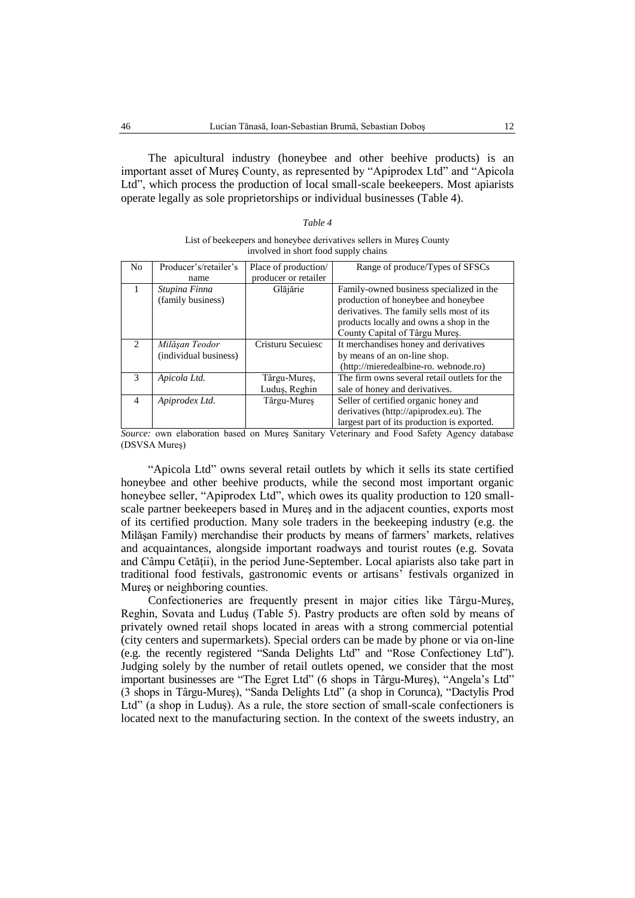The apicultural industry (honeybee and other beehive products) is an important asset of Mureş County, as represented by "Apiprodex Ltd" and "Apicola Ltd", which process the production of local small-scale beekeepers. Most apiarists operate legally as sole proprietorships or individual businesses (Table 4).

#### *Table 4*

| List of beekeepers and honeybee derivatives sellers in Mures County |
|---------------------------------------------------------------------|
| involved in short food supply chains                                |

| No                          | Producer's/retailer's | Place of production/ | Range of produce/Types of SFSCs              |
|-----------------------------|-----------------------|----------------------|----------------------------------------------|
|                             | name                  | producer or retailer |                                              |
| 1                           | Stupina Finna         | Glăjărie             | Family-owned business specialized in the     |
|                             | (family business)     |                      | production of honeybee and honeybee          |
|                             |                       |                      | derivatives. The family sells most of its    |
|                             |                       |                      | products locally and owns a shop in the      |
|                             |                       |                      | County Capital of Târgu Mures.               |
| $\mathcal{D}_{\mathcal{A}}$ | Milăşan Teodor        | Cristuru Secuiesc    | It merchandises honey and derivatives        |
|                             | (individual business) |                      | by means of an on-line shop.                 |
|                             |                       |                      | (http://mieredealbine-ro. webnode.ro)        |
| $\mathcal{R}$               | Apicola Ltd.          | Târgu-Mures,         | The firm owns several retail outlets for the |
|                             |                       | Luduş, Reghin        | sale of honey and derivatives.               |
| $\overline{\mathcal{A}}$    | Apiprodex Ltd.        | Târgu-Mures          | Seller of certified organic honey and        |
|                             |                       |                      | derivatives (http://apiprodex.eu). The       |
|                             |                       |                      | largest part of its production is exported.  |

*Source:* own elaboration based on Mureş Sanitary Veterinary and Food Safety Agency database (DSVSA Mureş)

"Apicola Ltd" owns several retail outlets by which it sells its state certified honeybee and other beehive products, while the second most important organic honeybee seller, "Apiprodex Ltd", which owes its quality production to 120 smallscale partner beekeepers based in Mureş and in the adjacent counties, exports most of its certified production. Many sole traders in the beekeeping industry (e.g. the Milăşan Family) merchandise their products by means of farmers' markets, relatives and acquaintances, alongside important roadways and tourist routes (e.g. Sovata and Câmpu Cetăţii), in the period June-September. Local apiarists also take part in traditional food festivals, gastronomic events or artisans' festivals organized in Mureş or neighboring counties.

Confectioneries are frequently present in major cities like Târgu-Mureş, Reghin, Sovata and Luduş (Table 5). Pastry products are often sold by means of privately owned retail shops located in areas with a strong commercial potential (city centers and supermarkets). Special orders can be made by phone or via on-line (e.g. the recently registered "Sanda Delights Ltd" and "Rose Confectioney Ltd"). Judging solely by the number of retail outlets opened, we consider that the most important businesses are "The Egret Ltd" (6 shops in Târgu-Mureş), "Angela's Ltd" (3 shops in Târgu-Mureş), "Sanda Delights Ltd" (a shop in Corunca), "Dactylis Prod Ltd" (a shop in Luduş). As a rule, the store section of small-scale confectioners is located next to the manufacturing section. In the context of the sweets industry, an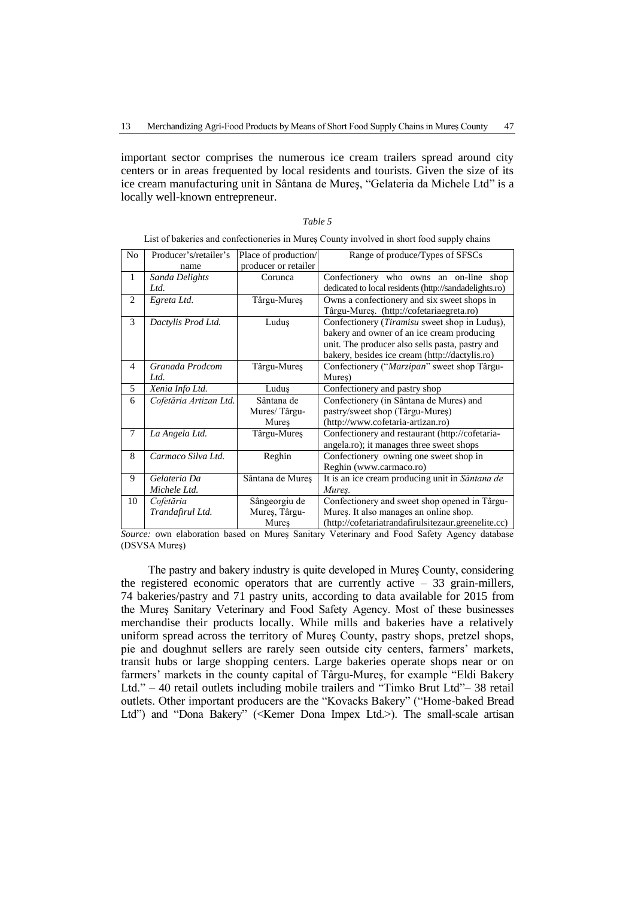important sector comprises the numerous ice cream trailers spread around city centers or in areas frequented by local residents and tourists. Given the size of its ice cream manufacturing unit in Sântana de Mureş, "Gelateria da Michele Ltd" is a locally well-known entrepreneur.

### *Table 5*

List of bakeries and confectioneries in Mureş County involved in short food supply chains

| N <sub>o</sub> | Producer's/retailer's  | Place of production/ | Range of produce/Types of SFSCs                        |
|----------------|------------------------|----------------------|--------------------------------------------------------|
|                | name                   | producer or retailer |                                                        |
| $\mathbf{1}$   | Sanda Delights         | Corunca              | Confectionery who owns an on-line shop                 |
|                | Ltd.                   |                      | dedicated to local residents (http://sandadelights.ro) |
| 2              | Egreta Ltd.            | Târgu-Mureș          | Owns a confectionery and six sweet shops in            |
|                |                        |                      | Târgu-Mureș. (http://cofetariaegreta.ro)               |
| 3              | Dactylis Prod Ltd.     | Luduş                | Confectionery (Tiramisu sweet shop in Ludus),          |
|                |                        |                      | bakery and owner of an ice cream producing             |
|                |                        |                      | unit. The producer also sells pasta, pastry and        |
|                |                        |                      | bakery, besides ice cream (http://dactylis.ro)         |
| $\overline{4}$ | Granada Prodcom        | Târgu-Mureș          | Confectionery ("Marzipan" sweet shop Târgu-            |
|                | Ltd.                   |                      | Mures)                                                 |
| 5              | Xenia Info Ltd.        | Ludus                | Confectionery and pastry shop                          |
| 6              | Cofetăria Artizan Ltd. | Sântana de           | Confectionery (in Sântana de Mures) and                |
|                |                        | Mures/Târgu-         | pastry/sweet shop (Târgu-Mureș)                        |
|                |                        | Mures                | (http://www.cofetaria-artizan.ro)                      |
| 7              | La Angela Ltd.         | Târgu-Mureș          | Confectionery and restaurant (http://cofetaria-        |
|                |                        |                      | angela.ro); it manages three sweet shops               |
| 8              | Carmaco Silva Ltd.     | Reghin               | Confectionery owning one sweet shop in                 |
|                |                        |                      | Reghin (www.carmaco.ro)                                |
| 9              | Gelateria Da           | Sântana de Mureș     | It is an ice cream producing unit in Sântana de        |
|                | Michele Ltd.           |                      | Mures.                                                 |
| 10             | Cofetăria              | Sângeorgiu de        | Confectionery and sweet shop opened in Târgu-          |
|                | Trandafirul Ltd.       | Mureș, Târgu-        | Mureș. It also manages an online shop.                 |
|                |                        | Mures                | (http://cofetariatrandafirulsitezaur.greenelite.cc)    |

*Source:* own elaboration based on Mureş Sanitary Veterinary and Food Safety Agency database (DSVSA Mureş)

The pastry and bakery industry is quite developed in Mureş County, considering the registered economic operators that are currently active  $-33$  grain-millers, 74 bakeries/pastry and 71 pastry units, according to data available for 2015 from the Mureş Sanitary Veterinary and Food Safety Agency. Most of these businesses merchandise their products locally. While mills and bakeries have a relatively uniform spread across the territory of Mureş County, pastry shops, pretzel shops, pie and doughnut sellers are rarely seen outside city centers, farmers' markets, transit hubs or large shopping centers. Large bakeries operate shops near or on farmers' markets in the county capital of Târgu-Mureş, for example "Eldi Bakery Ltd." – 40 retail outlets including mobile trailers and "Timko Brut Ltd"– 38 retail outlets. Other important producers are the "Kovacks Bakery" ("Home-baked Bread Ltd") and "Dona Bakery" (<Kemer Dona Impex Ltd.>). The small-scale artisan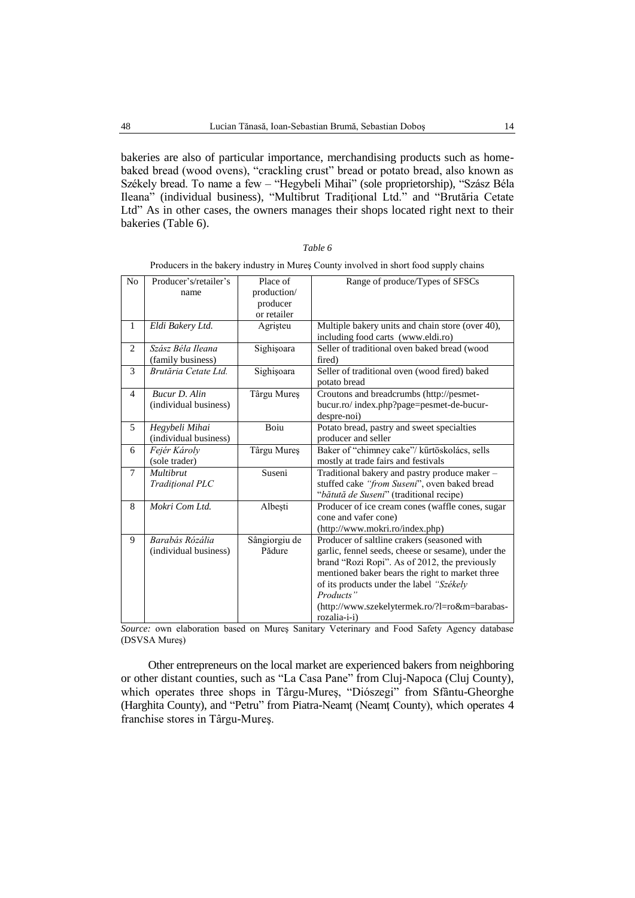bakeries are also of particular importance, merchandising products such as homebaked bread (wood ovens), "crackling crust" bread or potato bread, also known as Székely bread. To name a few – "Hegybeli Mihai" (sole proprietorship), "Szász Béla Ileana" (individual business), "Multibrut Tradiţional Ltd." and "Brutăria Cetate Ltd" As in other cases, the owners manages their shops located right next to their bakeries (Table 6).

| Table |
|-------|
|-------|

| No             | Producer's/retailer's<br>name            | Place of<br>production/<br>producer<br>or retailer | Range of produce/Types of SFSCs                                                                                                                                                                                                                                                                                                 |
|----------------|------------------------------------------|----------------------------------------------------|---------------------------------------------------------------------------------------------------------------------------------------------------------------------------------------------------------------------------------------------------------------------------------------------------------------------------------|
| $\mathbf{1}$   | Eldi Bakery Ltd.                         | Agristeu                                           | Multiple bakery units and chain store (over 40),<br>including food carts (www.eldi.ro)                                                                                                                                                                                                                                          |
| $\overline{2}$ | Szász Béla Ileana<br>(family business)   | Sighișoara                                         | Seller of traditional oven baked bread (wood<br>fired)                                                                                                                                                                                                                                                                          |
| 3              | Brutăria Cetate Ltd.                     | Sighișoara                                         | Seller of traditional oven (wood fired) baked<br>potato bread                                                                                                                                                                                                                                                                   |
| 4              | Bucur D. Alin<br>(individual business)   | Târgu Mureș                                        | Croutons and breadcrumbs (http://pesmet-<br>bucur.ro/index.php?page=pesmet-de-bucur-<br>despre-noi)                                                                                                                                                                                                                             |
| 5              | Hegybeli Mihai<br>(individual business)  | Boiu                                               | Potato bread, pastry and sweet specialties<br>producer and seller                                                                                                                                                                                                                                                               |
| 6              | Fejér Károly<br>(sole trader)            | Târgu Mureș                                        | Baker of "chimney cake"/ kűrtöskolács, sells<br>mostly at trade fairs and festivals                                                                                                                                                                                                                                             |
| $\overline{7}$ | <b>Multibrut</b><br>Tradițional PLC      | Suseni                                             | Traditional bakery and pastry produce maker -<br>stuffed cake "from Suseni", oven baked bread<br>"bătută de Suseni" (traditional recipe)                                                                                                                                                                                        |
| 8              | Mokri Com Ltd.                           | Albești                                            | Producer of ice cream cones (waffle cones, sugar<br>cone and vafer cone)<br>(http://www.mokri.ro/index.php)                                                                                                                                                                                                                     |
| 9              | Barabás Rózália<br>(individual business) | Sângiorgiu de<br>Pădure                            | Producer of saltline crakers (seasoned with<br>garlic, fennel seeds, cheese or sesame), under the<br>brand "Rozi Ropi". As of 2012, the previously<br>mentioned baker bears the right to market three<br>of its products under the label "Székely<br>Products"<br>(http://www.szekelytermek.ro/?l=ro&m=barabas-<br>rozalia-i-i) |

|  |  | Producers in the bakery industry in Mureș County involved in short food supply chains |
|--|--|---------------------------------------------------------------------------------------|

*Source:* own elaboration based on Mureş Sanitary Veterinary and Food Safety Agency database (DSVSA Mureş)

Other entrepreneurs on the local market are experienced bakers from neighboring or other distant counties, such as "La Casa Pane" from Cluj-Napoca (Cluj County), which operates three shops in Târgu-Mureş, "Diószegi" from Sfântu-Gheorghe (Harghita County), and "Petru" from Piatra-Neamţ (Neamţ County), which operates 4 franchise stores in Târgu-Mureş.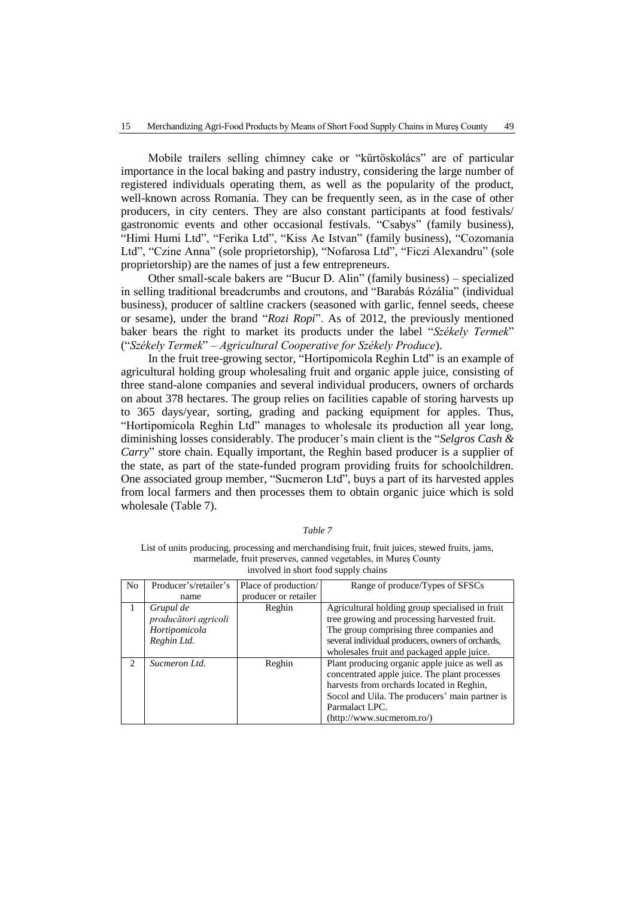Mobile trailers selling chimney cake or "kűrtöskolács" are of particular importance in the local baking and pastry industry, considering the large number of registered individuals operating them, as well as the popularity of the product, well-known across Romania. They can be frequently seen, as in the case of other producers, in city centers. They are also constant participants at food festivals/ gastronomic events and other occasional festivals. "Csabys" (family business), "Himi Humi Ltd", "Ferika Ltd", "Kiss Ae Istvan" (family business), "Cozomania Ltd", "Czine Anna" (sole proprietorship), "Nofarosa Ltd", "Ficzi Alexandru" (sole proprietorship) are the names of just a few entrepreneurs.

Other small-scale bakers are "Bucur D. Alin" (family business) – specialized in selling traditional breadcrumbs and croutons, and "Barabás Rózália" (individual business), producer of saltline crackers (seasoned with garlic, fennel seeds, cheese or sesame), under the brand "*Rozi Ropi*". As of 2012, the previously mentioned baker bears the right to market its products under the label "*Székely Termek*" ("*Székely Termek*" *– Agricultural Cooperative for Székely Produce*).

In the fruit tree-growing sector, "Hortipomicola Reghin Ltd" is an example of agricultural holding group wholesaling fruit and organic apple juice, consisting of three stand-alone companies and several individual producers, owners of orchards on about 378 hectares. The group relies on facilities capable of storing harvests up to 365 days/year, sorting, grading and packing equipment for apples. Thus, "Hortipomicola Reghin Ltd" manages to wholesale its production all year long, diminishing losses considerably. The producer's main client is the "*Selgros Cash & Carry*" store chain. Equally important, the Reghin based producer is a supplier of the state, as part of the state-funded program providing fruits for schoolchildren. One associated group member, "Sucmeron Ltd", buys a part of its harvested apples from local farmers and then processes them to obtain organic juice which is sold wholesale (Table 7).

| N <sub>o</sub>                | Producer's/retailer's | Place of production/ | Range of produce/Types of SFSCs                                                                 |
|-------------------------------|-----------------------|----------------------|-------------------------------------------------------------------------------------------------|
|                               | name                  | producer or retailer |                                                                                                 |
|                               | Grupul de             | Reghin               | Agricultural holding group specialised in fruit                                                 |
|                               | producători agricoli  |                      | tree growing and processing harvested fruit.                                                    |
|                               | Hortipomicola         |                      | The group comprising three companies and                                                        |
|                               | Reghin Ltd.           |                      | several individual producers, owners of orchards,                                               |
|                               |                       |                      | wholesales fruit and packaged apple juice.                                                      |
| $\mathfrak{D}_{\mathfrak{p}}$ | Sucmeron Ltd.         | Reghin               | Plant producing organic apple juice as well as<br>concentrated apple juice. The plant processes |
|                               |                       |                      |                                                                                                 |
|                               |                       |                      | harvests from orchards located in Reghin,                                                       |
|                               |                       |                      | Socol and Uila. The producers' main partner is                                                  |
|                               |                       |                      | Parmalact LPC.                                                                                  |
|                               |                       |                      | (http://www.sucmerom.ro/)                                                                       |

| Table |  |
|-------|--|
|       |  |

List of units producing, processing and merchandising fruit, fruit juices, stewed fruits, jams, marmelade, fruit preserves, canned vegetables, in Mureş County involved in short food supply chains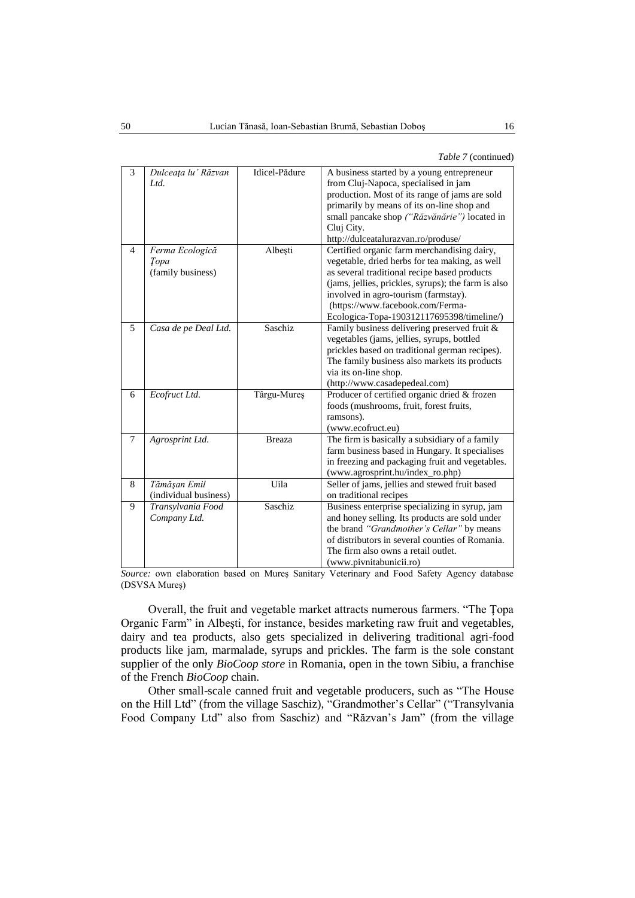*Table 7* (continued)

| 3              | Dulceața lu' Răzvan<br>Ltd.                  | Idicel-Pădure | A business started by a young entrepreneur<br>from Cluj-Napoca, specialised in jam<br>production. Most of its range of jams are sold<br>primarily by means of its on-line shop and<br>small pancake shop ("Răzvănărie") located in<br>Cluj City.<br>http://dulceatalurazvan.ro/produse/                                       |
|----------------|----------------------------------------------|---------------|-------------------------------------------------------------------------------------------------------------------------------------------------------------------------------------------------------------------------------------------------------------------------------------------------------------------------------|
| $\overline{4}$ | Ferma Ecologică<br>Topa<br>(family business) | Albești       | Certified organic farm merchandising dairy,<br>vegetable, dried herbs for tea making, as well<br>as several traditional recipe based products<br>(jams, jellies, prickles, syrups); the farm is also<br>involved in agro-tourism (farmstay).<br>(https://www.facebook.com/Ferma-<br>Ecologica-Topa-190312117695398/timeline/) |
| 5              | Casa de pe Deal Ltd.                         | Saschiz       | Family business delivering preserved fruit &<br>vegetables (jams, jellies, syrups, bottled<br>prickles based on traditional german recipes).<br>The family business also markets its products<br>via its on-line shop.<br>(http://www.casadepedeal.com)                                                                       |
| 6              | Ecofruct Ltd.                                | Târgu-Mureș   | Producer of certified organic dried & frozen<br>foods (mushrooms, fruit, forest fruits,<br>ramsons).<br>(www.ecofruct.eu)                                                                                                                                                                                                     |
| $\overline{7}$ | Agrosprint Ltd.                              | <b>Breaza</b> | The firm is basically a subsidiary of a family<br>farm business based in Hungary. It specialises<br>in freezing and packaging fruit and vegetables.<br>(www.agrosprint.hu/index_ro.php)                                                                                                                                       |
| 8              | Tămăşan Emil<br>(individual business)        | Uila          | Seller of jams, jellies and stewed fruit based<br>on traditional recipes                                                                                                                                                                                                                                                      |
| 9              | Transylvania Food<br>Company Ltd.            | Saschiz       | Business enterprise specializing in syrup, jam<br>and honey selling. Its products are sold under<br>the brand "Grandmother's Cellar" by means<br>of distributors in several counties of Romania.<br>The firm also owns a retail outlet.<br>(www.pivnitabunicii.ro)                                                            |

*Source:* own elaboration based on Mureş Sanitary Veterinary and Food Safety Agency database (DSVSA Mureş)

Overall, the fruit and vegetable market attracts numerous farmers. "The Ţopa Organic Farm" in Albeşti, for instance, besides marketing raw fruit and vegetables, dairy and tea products, also gets specialized in delivering traditional agri-food products like jam, marmalade, syrups and prickles. The farm is the sole constant supplier of the only *BioCoop store* in Romania, open in the town Sibiu, a franchise of the French *BioCoop* chain.

Other small-scale canned fruit and vegetable producers, such as "The House on the Hill Ltd" (from the village Saschiz), "Grandmother's Cellar" ("Transylvania Food Company Ltd" also from Saschiz) and "Răzvan's Jam" (from the village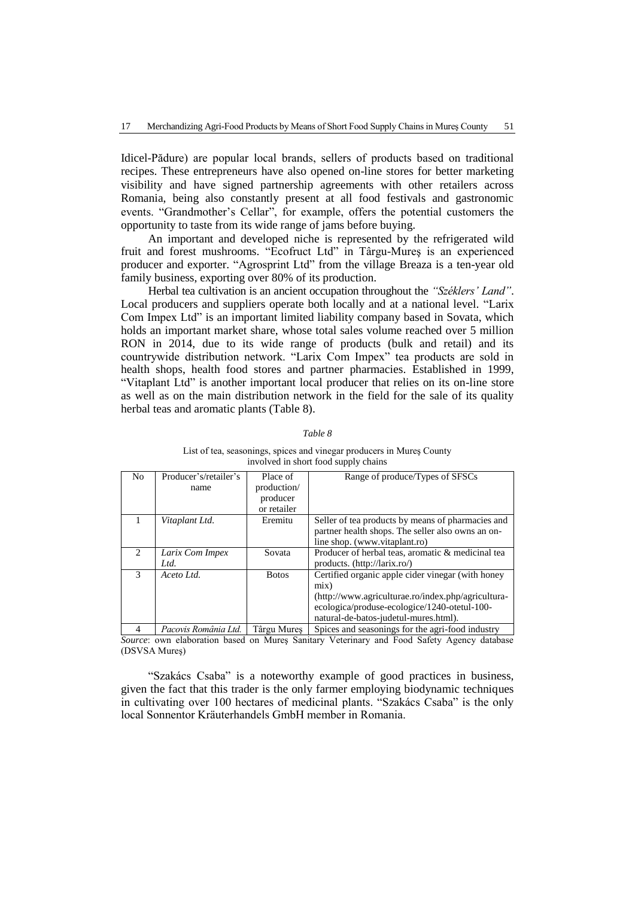Idicel-Pădure) are popular local brands, sellers of products based on traditional recipes. These entrepreneurs have also opened on-line stores for better marketing visibility and have signed partnership agreements with other retailers across Romania, being also constantly present at all food festivals and gastronomic events. "Grandmother's Cellar", for example, offers the potential customers the opportunity to taste from its wide range of jams before buying.

An important and developed niche is represented by the refrigerated wild fruit and forest mushrooms. "Ecofruct Ltd" in Târgu-Mureş is an experienced producer and exporter. "Agrosprint Ltd" from the village Breaza is a ten-year old family business, exporting over 80% of its production.

Herbal tea cultivation is an ancient occupation throughout the *"Széklers' Land"*. Local producers and suppliers operate both locally and at a national level. "Larix Com Impex Ltd" is an important limited liability company based in Sovata, which holds an important market share, whose total sales volume reached over 5 million RON in 2014, due to its wide range of products (bulk and retail) and its countrywide distribution network. "Larix Com Impex" tea products are sold in health shops, health food stores and partner pharmacies. Established in 1999, "Vitaplant Ltd" is another important local producer that relies on its on-line store as well as on the main distribution network in the field for the sale of its quality herbal teas and aromatic plants (Table 8).

#### *Table 8*

| N <sub>0</sub>              | Producer's/retailer's | Place of     | Range of produce/Types of SFSCs                    |
|-----------------------------|-----------------------|--------------|----------------------------------------------------|
|                             | name                  | production/  |                                                    |
|                             |                       | producer     |                                                    |
|                             |                       | or retailer  |                                                    |
|                             | Vitaplant Ltd.        | Eremitu      | Seller of tea products by means of pharmacies and  |
|                             |                       |              | partner health shops. The seller also owns an on-  |
|                             |                       |              | line shop. (www.vitaplant.ro)                      |
| $\mathcal{D}_{\mathcal{L}}$ | Larix Com Impex       | Sovata       | Producer of herbal teas, aromatic & medicinal tea  |
|                             | Ltd.                  |              | products. (http://larix.ro/)                       |
| $\mathcal{R}$               | Aceto Ltd.            | <b>Botos</b> | Certified organic apple cider vinegar (with honey  |
|                             |                       |              | mix)                                               |
|                             |                       |              | (http://www.agriculturae.ro/index.php/agricultura- |
|                             |                       |              | ecologica/produse-ecologice/1240-otetul-100-       |
|                             |                       |              | natural-de-batos-judetul-mures.html).              |
| 4                           | Pacovis România Ltd.  | Târgu Mures  | Spices and seasonings for the agri-food industry   |

#### List of tea, seasonings, spices and vinegar producers in Mureş County involved in short food supply chains

*Source*: own elaboration based on Mureş Sanitary Veterinary and Food Safety Agency database (DSVSA Mureş)

"Szakács Csaba" is a noteworthy example of good practices in business, given the fact that this trader is the only farmer employing biodynamic techniques in cultivating over 100 hectares of medicinal plants. "Szakács Csaba" is the only local Sonnentor Kräuterhandels GmbH member in Romania.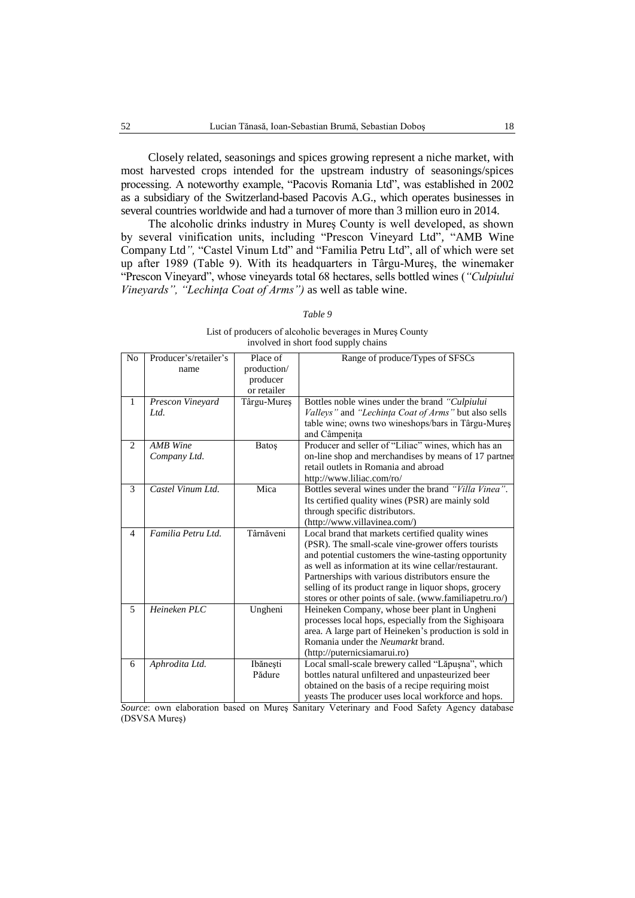Closely related, seasonings and spices growing represent a niche market, with most harvested crops intended for the upstream industry of seasonings/spices processing. A noteworthy example, "Pacovis Romania Ltd", was established in 2002 as a subsidiary of the Switzerland-based Pacovis A.G., which operates businesses in several countries worldwide and had a turnover of more than 3 million euro in 2014.

The alcoholic drinks industry in Mureş County is well developed, as shown by several vinification units, including "Prescon Vineyard Ltd"*,* "AMB Wine Company Ltd*",* "Castel Vinum Ltd" and "Familia Petru Ltd", all of which were set up after 1989 (Table 9). With its headquarters in Târgu-Mureş, the winemaker "Prescon Vineyard", whose vineyards total 68 hectares, sells bottled wines (*"Culpiului Vineyards", "Lechinţa Coat of Arms")* as well as table wine.

|                | $1.88$ m short room suppr $,$ emands |             |                                                        |  |  |
|----------------|--------------------------------------|-------------|--------------------------------------------------------|--|--|
| N <sub>o</sub> | Producer's/retailer's                | Place of    | Range of produce/Types of SFSCs                        |  |  |
|                | name                                 | production/ |                                                        |  |  |
|                |                                      | producer    |                                                        |  |  |
|                |                                      | or retailer |                                                        |  |  |
| 1              | Prescon Vineyard                     | Târgu-Mureș | Bottles noble wines under the brand "Culpiului         |  |  |
|                | Ltd.                                 |             | Valleys" and "Lechința Coat of Arms" but also sells    |  |  |
|                |                                      |             | table wine; owns two wineshops/bars in Târgu-Mures     |  |  |
|                |                                      |             | and Câmpenița                                          |  |  |
| 2              | <b>AMB</b> Wine                      | Batoş       | Producer and seller of "Liliac" wines, which has an    |  |  |
|                | Company Ltd.                         |             | on-line shop and merchandises by means of 17 partner   |  |  |
|                |                                      |             | retail outlets in Romania and abroad                   |  |  |
|                |                                      |             | http://www.liliac.com/ro/                              |  |  |
| 3              | Castel Vinum Ltd.                    | Mica        | Bottles several wines under the brand "Villa Vinea".   |  |  |
|                |                                      |             | Its certified quality wines (PSR) are mainly sold      |  |  |
|                |                                      |             | through specific distributors.                         |  |  |
|                |                                      |             | (http://www.villavinea.com/)                           |  |  |
| $\overline{4}$ | Familia Petru Ltd.                   | Târnăveni   | Local brand that markets certified quality wines       |  |  |
|                |                                      |             | (PSR). The small-scale vine-grower offers tourists     |  |  |
|                |                                      |             | and potential customers the wine-tasting opportunity   |  |  |
|                |                                      |             | as well as information at its wine cellar/restaurant.  |  |  |
|                |                                      |             | Partnerships with various distributors ensure the      |  |  |
|                |                                      |             | selling of its product range in liquor shops, grocery  |  |  |
|                |                                      |             | stores or other points of sale. (www.familiapetru.ro/) |  |  |
| 5              | Heineken PLC                         | Ungheni     | Heineken Company, whose beer plant in Ungheni          |  |  |
|                |                                      |             | processes local hops, especially from the Sighișoara   |  |  |
|                |                                      |             | area. A large part of Heineken's production is sold in |  |  |
|                |                                      |             | Romania under the <i>Neumarkt</i> brand.               |  |  |
|                |                                      |             | (http://puternicsiamarui.ro)                           |  |  |
| 6              | Aphrodita Ltd.                       | Ibănești    | Local small-scale brewery called "Lăpușna", which      |  |  |
|                |                                      | Pădure      | bottles natural unfiltered and unpasteurized beer      |  |  |
|                |                                      |             | obtained on the basis of a recipe requiring moist      |  |  |
|                |                                      |             | yeasts The producer uses local workforce and hops.     |  |  |

# *Table 9*

List of producers of alcoholic beverages in Mureş County involved in short food supply chains

*Source*: own elaboration based on Mureş Sanitary Veterinary and Food Safety Agency database (DSVSA Mureş)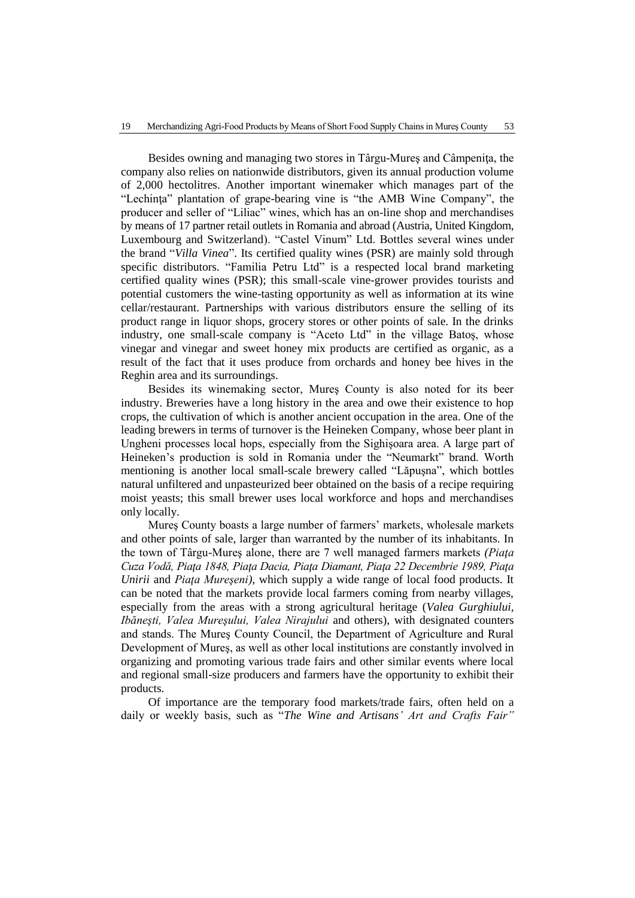Besides owning and managing two stores in Târgu-Mureş and Câmpeniţa, the company also relies on nationwide distributors, given its annual production volume of 2,000 hectolitres. Another important winemaker which manages part of the "Lechinţa" plantation of grape-bearing vine is "the AMB Wine Company", the producer and seller of "Liliac" wines, which has an on-line shop and merchandises by means of 17 partner retail outlets in Romania and abroad (Austria, United Kingdom, Luxembourg and Switzerland). "Castel Vinum" Ltd. Bottles several wines under the brand "*Villa Vinea*". Its certified quality wines (PSR) are mainly sold through specific distributors. "Familia Petru Ltd" is a respected local brand marketing certified quality wines (PSR); this small-scale vine-grower provides tourists and potential customers the wine-tasting opportunity as well as information at its wine cellar/restaurant. Partnerships with various distributors ensure the selling of its product range in liquor shops, grocery stores or other points of sale. In the drinks industry, one small-scale company is "Aceto Ltd" in the village Batos, whose vinegar and vinegar and sweet honey mix products are certified as organic, as a result of the fact that it uses produce from orchards and honey bee hives in the Reghin area and its surroundings.

Besides its winemaking sector, Mureş County is also noted for its beer industry. Breweries have a long history in the area and owe their existence to hop crops, the cultivation of which is another ancient occupation in the area. One of the leading brewers in terms of turnover is the Heineken Company, whose beer plant in Ungheni processes local hops, especially from the Sighişoara area. A large part of Heineken's production is sold in Romania under the "Neumarkt" brand. Worth mentioning is another local small-scale brewery called "Lăpuşna", which bottles natural unfiltered and unpasteurized beer obtained on the basis of a recipe requiring moist yeasts; this small brewer uses local workforce and hops and merchandises only locally.

Mureş County boasts a large number of farmers' markets, wholesale markets and other points of sale, larger than warranted by the number of its inhabitants. In the town of Târgu-Mureş alone, there are 7 well managed farmers markets *(Piaţa Cuza Vodă, Piaţa 1848, Piaţa Dacia, Piaţa Diamant, Piaţa 22 Decembrie 1989, Piaţa Unirii* and *Piaţa Mureşeni),* which supply a wide range of local food products. It can be noted that the markets provide local farmers coming from nearby villages, especially from the areas with a strong agricultural heritage (*Valea Gurghiului, Ibăneşti, Valea Mureşului, Valea Nirajului* and others), with designated counters and stands. The Mureş County Council, the Department of Agriculture and Rural Development of Mureş, as well as other local institutions are constantly involved in organizing and promoting various trade fairs and other similar events where local and regional small-size producers and farmers have the opportunity to exhibit their products.

Of importance are the temporary food markets/trade fairs, often held on a daily or weekly basis, such as "*The Wine and Artisans' Art and Crafts Fair"*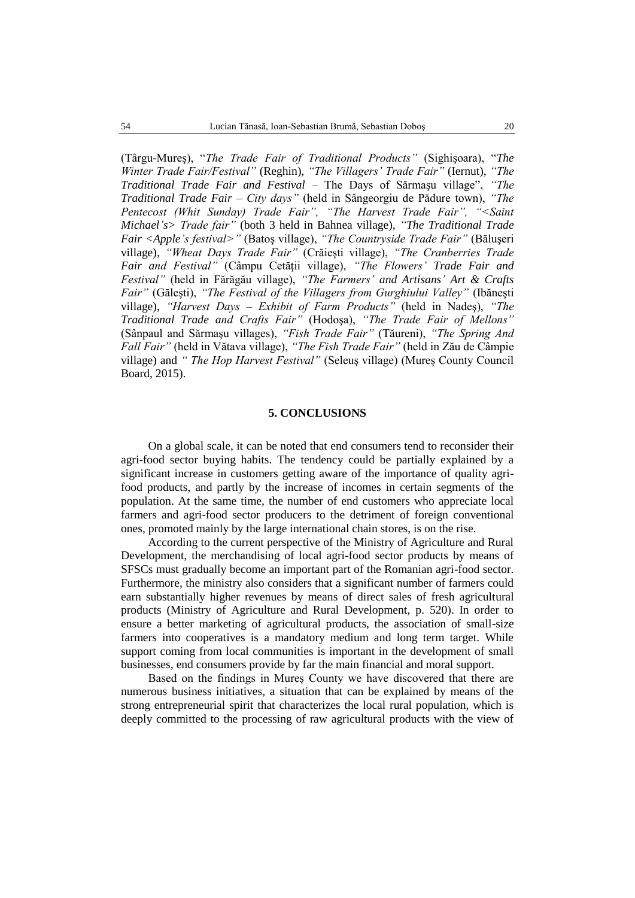(Târgu-Mureş), "*The Trade Fair of Traditional Products"* (Sighişoara), "*The Winter Trade Fair/Festival"* (Reghin), *"The Villagers' Trade Fair"* (Iernut), *"The Traditional Trade Fair and Festival* – The Days of Sărmaşu village", *"The Traditional Trade Fair – City days"* (held in Sângeorgiu de Pădure town), *"The Pentecost (Whit Sunday) Trade Fair", "The Harvest Trade Fair", "<Saint Michael's> Trade fair"* (both 3 held in Bahnea village), *"The Traditional Trade Fair <Apple's festival>"* (Batoş village), *"The Countryside Trade Fair"* (Băluşeri village), *"Wheat Days Trade Fair"* (Crăieşti village), *"The Cranberries Trade Fair and Festival"* (Câmpu Cetăţii village), *"The Flowers' Trade Fair and Festival"* (held in Fărăgău village), *"The Farmers' and Artisans' Art & Crafts Fair"* (Găleşti), *"The Festival of the Villagers from Gurghiului Valley"* (Ibăneşti village), *"Harvest Days – Exhibit of Farm Products"* (held in Nadeş), *"The Traditional Trade and Crafts Fair"* (Hodoşa), *"The Trade Fair of Mellons"*  (Sânpaul and Sărmaşu villages), *"Fish Trade Fair"* (Tăureni), *"The Spring And Fall Fair"* (held in Vătava village), *"The Fish Trade Fair"* (held in Zău de Câmpie village) and *" The Hop Harvest Festival"* (Seleuş village) (Mureş County Council Board, 2015).

## **5. CONCLUSIONS**

On a global scale, it can be noted that end consumers tend to reconsider their agri-food sector buying habits. The tendency could be partially explained by a significant increase in customers getting aware of the importance of quality agrifood products, and partly by the increase of incomes in certain segments of the population. At the same time, the number of end customers who appreciate local farmers and agri-food sector producers to the detriment of foreign conventional ones, promoted mainly by the large international chain stores, is on the rise.

According to the current perspective of the Ministry of Agriculture and Rural Development, the merchandising of local agri-food sector products by means of SFSCs must gradually become an important part of the Romanian agri-food sector. Furthermore, the ministry also considers that a significant number of farmers could earn substantially higher revenues by means of direct sales of fresh agricultural products (Ministry of Agriculture and Rural Development, p. 520). In order to ensure a better marketing of agricultural products, the association of small-size farmers into cooperatives is a mandatory medium and long term target. While support coming from local communities is important in the development of small businesses, end consumers provide by far the main financial and moral support.

Based on the findings in Mureş County we have discovered that there are numerous business initiatives, a situation that can be explained by means of the strong entrepreneurial spirit that characterizes the local rural population, which is deeply committed to the processing of raw agricultural products with the view of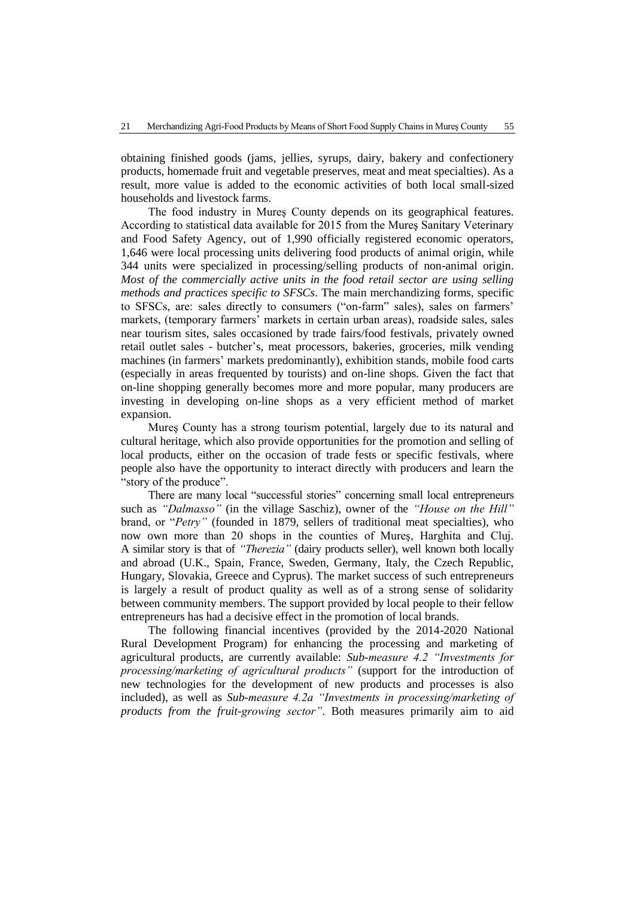obtaining finished goods (jams, jellies, syrups, dairy, bakery and confectionery products, homemade fruit and vegetable preserves, meat and meat specialties). As a result, more value is added to the economic activities of both local small-sized households and livestock farms.

The food industry in Mureş County depends on its geographical features. According to statistical data available for 2015 from the Mureş Sanitary Veterinary and Food Safety Agency, out of 1,990 officially registered economic operators, 1,646 were local processing units delivering food products of animal origin, while 344 units were specialized in processing/selling products of non-animal origin. *Most of the commercially active units in the food retail sector are using selling methods and practices specific to SFSCs*. The main merchandizing forms, specific to SFSCs, are: sales directly to consumers ("on-farm" sales), sales on farmers' markets, (temporary farmers' markets in certain urban areas), roadside sales, sales near tourism sites, sales occasioned by trade fairs/food festivals, privately owned retail outlet sales - butcher's, meat processors, bakeries, groceries, milk vending machines (in farmers' markets predominantly), exhibition stands, mobile food carts (especially in areas frequented by tourists) and on-line shops. Given the fact that on-line shopping generally becomes more and more popular, many producers are investing in developing on-line shops as a very efficient method of market expansion.

Mureş County has a strong tourism potential, largely due to its natural and cultural heritage, which also provide opportunities for the promotion and selling of local products, either on the occasion of trade fests or specific festivals, where people also have the opportunity to interact directly with producers and learn the "story of the produce".

There are many local "successful stories" concerning small local entrepreneurs such as *"Dalmasso"* (in the village Saschiz), owner of the *"House on the Hill"*  brand, or "*Petry"* (founded in 1879, sellers of traditional meat specialties), who now own more than 20 shops in the counties of Mureş, Harghita and Cluj. A similar story is that of *"Therezia"* (dairy products seller), well known both locally and abroad (U.K., Spain, France, Sweden, Germany, Italy, the Czech Republic, Hungary, Slovakia, Greece and Cyprus). The market success of such entrepreneurs is largely a result of product quality as well as of a strong sense of solidarity between community members. The support provided by local people to their fellow entrepreneurs has had a decisive effect in the promotion of local brands.

The following financial incentives (provided by the 2014-2020 National Rural Development Program) for enhancing the processing and marketing of agricultural products, are currently available: *Sub-measure 4.2 "Investments for processing/marketing of agricultural products"* (support for the introduction of new technologies for the development of new products and processes is also included), as well as *Sub-measure 4.2a "Investments in processing/marketing of products from the fruit-growing sector"*. Both measures primarily aim to aid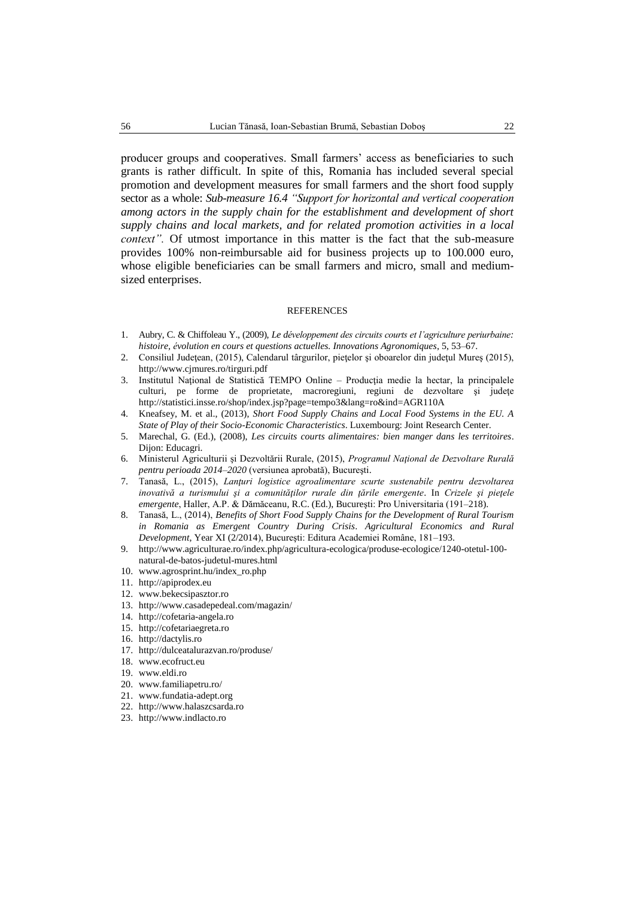producer groups and cooperatives. Small farmers' access as beneficiaries to such grants is rather difficult. In spite of this, Romania has included several special promotion and development measures for small farmers and the short food supply sector as a whole: *Sub-measure 16.4 "Support for horizontal and vertical cooperation among actors in the supply chain for the establishment and development of short supply chains and local markets, and for related promotion activities in a local context".* Of utmost importance in this matter is the fact that the sub-measure provides 100% non-reimbursable aid for business projects up to 100.000 euro, whose eligible beneficiaries can be small farmers and micro, small and mediumsized enterprises.

#### REFERENCES

- 1. Aubry, C. & Chiffoleau Y., (2009), *Le développement des circuits courts et l'agriculture periurbaine: histoire, évolution en cours et questions actuelles. Innovations Agronomiques*, 5, 53–67.
- 2. Consiliul Judeţean, (2015), Calendarul târgurilor, pieţelor şi oboarelor din judeţul Mureş (2015), http://www.cjmures.ro/tirguri.pdf
- 3. Institutul Naţional de Statistică TEMPO Online Producţia medie la hectar, la principalele culturi, pe forme de proprietate, macroregiuni, regiuni de dezvoltare şi judeţe http://statistici.insse.ro/shop/index.jsp?page=tempo3&lang=ro&ind=AGR110A
- 4. Kneafsey, M. et al., (2013), *Short Food Supply Chains and Local Food Systems in the EU. A State of Play of their Socio-Economic Characteristics*. Luxembourg: Joint Research Center.
- 5. Marechal, G. (Ed.), (2008), *Les circuits courts alimentaires: bien manger dans les territoires*. Dijon: Educagri.
- 6. Ministerul Agriculturii şi Dezvoltării Rurale, (2015), *Programul Naţional de Dezvoltare Rurală pentru perioada 2014–2020* (versiunea aprobată), Bucureşti.
- 7. Tanasă, L., (2015), *Lanţuri logistice agroalimentare scurte sustenabile pentru dezvoltarea inovativă a turismului şi a comunităţilor rurale din ţările emergente*. In *Crizele şi pieţele emergente*, Haller, A.P. & Dămăceanu, R.C. (Ed.), Bucureşti: Pro Universitaria (191–218).
- 8. Tanasă, L., (2014), *Benefits of Short Food Supply Chains for the Development of Rural Tourism in Romania as Emergent Country During Crisis*. *Agricultural Economics and Rural Development*, Year XI (2/2014), Bucureşti: Editura Academiei Române, 181–193.
- 9. [http://www.agriculturae.ro/index.php/agricultura-ecologica/produse-ecologice/1240-otetul-100](http://www.agriculturae.ro/index.php/agricultura-ecologica/produse-ecologice/1240-otetul-100-natural-de-batos-judetul-mures.html) [natural-de-batos-judetul-mures.html](http://www.agriculturae.ro/index.php/agricultura-ecologica/produse-ecologice/1240-otetul-100-natural-de-batos-judetul-mures.html)
- 10. [www.agrosprint.hu/index\\_ro.php](http://www.agrosprint.hu/index_ro.php)
- 11. [http://apiprodex.eu](http://apiprodex.eu/)
- 12. [www.bekecsipasztor.ro](http://www.bekecsipasztor.ro/)
- 13. <http://www.casadepedeal.com/magazin/>
- 14. [http://cofetaria-angela.ro](http://cofetaria-angela.ro/)
- 15. [http://cofetariaegreta.ro](http://cofetariaegreta.ro/)
- 16. [http://dactylis.ro](http://dactylis.ro/)
- 17. <http://dulceatalurazvan.ro/produse/>
- 18. [www.ecofruct.eu](http://www.ecofruct.eu/)
- 19. [www.eldi.ro](http://www.eldi.ro/)
- 20. [www.familiapetru.ro/](http://www.familiapetru.ro/)
- 21. [www.fundatia-adept.org](http://www.fundatia-adept.org/?content=contact)
- 22. [http://www.halaszcsarda.ro](http://www.halaszcsarda.ro/)
- 23. [http://www.indlacto.ro](http://www.indlacto.ro/)